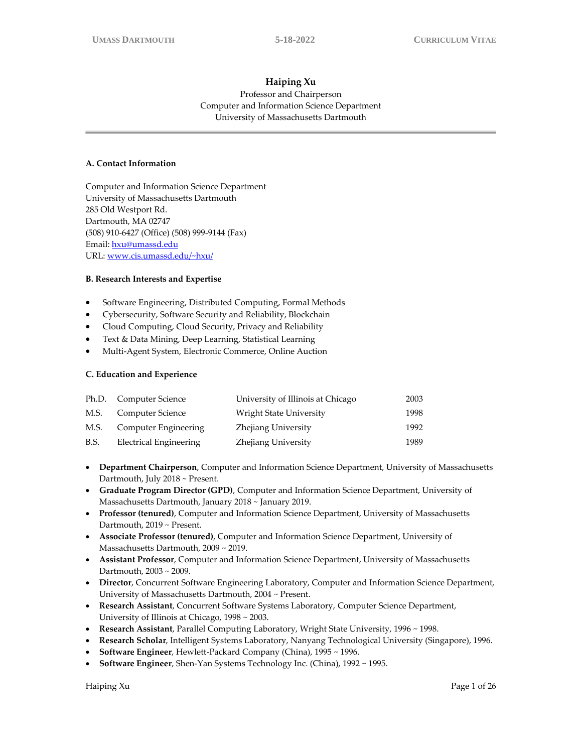# **Haiping Xu**

Professor and Chairperson Computer and Information Science Department University of Massachusetts Dartmouth

#### **A. Contact Information**

Computer and Information Science Department University of Massachusetts Dartmouth 285 Old Westport Rd. Dartmouth, MA 02747 (508) 910-6427 (Office) (508) 999-9144 (Fax) Email: **[hxu@umassd.edu](mailto:hxu@umassd.edu)** URL: [www.cis.umassd.edu/~hxu/](http://www.cis.umassd.edu/~hxu/)

#### **B. Research Interests and Expertise**

- Software Engineering, Distributed Computing, Formal Methods
- Cybersecurity, Software Security and Reliability, Blockchain
- Cloud Computing, Cloud Security, Privacy and Reliability
- Text & Data Mining, Deep Learning, Statistical Learning
- Multi-Agent System, Electronic Commerce, Online Auction

#### **C. Education and Experience**

|      | Ph.D. Computer Science | University of Illinois at Chicago | 2003 |
|------|------------------------|-----------------------------------|------|
| M.S. | Computer Science       | Wright State University           | 1998 |
| M.S. | Computer Engineering   | <b>Zhejiang University</b>        | 1992 |
| B.S. | Electrical Engineering | <b>Zhejiang University</b>        | 1989 |

- **Department Chairperson**, Computer and Information Science Department, University of Massachusetts Dartmouth, July 2018 ~ Present.
- **Graduate Program Director (GPD)**, Computer and Information Science Department, University of Massachusetts Dartmouth, January 2018 ~ January 2019.
- **Professor (tenured)**, Computer and Information Science Department, University of Massachusetts Dartmouth, 2019 ~ Present.
- **Associate Professor (tenured)**, Computer and Information Science Department, University of Massachusetts Dartmouth, 2009 ~ 2019.
- **Assistant Professor**, Computer and Information Science Department, University of Massachusetts Dartmouth, 2003 ~ 2009.
- **Director**, Concurrent Software Engineering Laboratory, Computer and Information Science Department, University of Massachusetts Dartmouth, 2004 ~ Present.
- **Research Assistant**, Concurrent Software Systems Laboratory, Computer Science Department, University of Illinois at Chicago, 1998 ~ 2003.
- **Research Assistant**, Parallel Computing Laboratory, Wright State University, 1996 ~ 1998.
- **Research Scholar**, Intelligent Systems Laboratory, Nanyang Technological University (Singapore), 1996.
- **Software Engineer**, Hewlett-Packard Company (China), 1995 ~ 1996.
- **Software Engineer**, Shen-Yan Systems Technology Inc. (China), 1992 ~ 1995.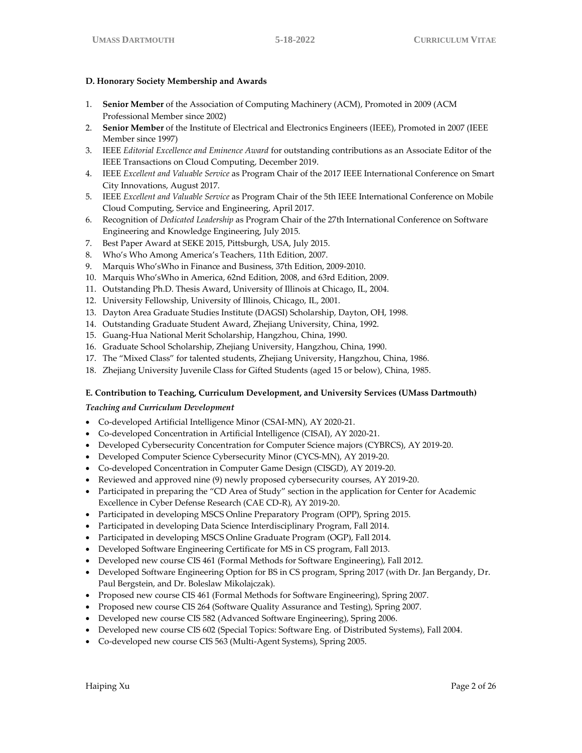# **D. Honorary Society Membership and Awards**

- 1. **Senior Member** of the Association of Computing Machinery (ACM), Promoted in 2009 (ACM Professional Member since 2002)
- 2. **Senior Member** of the Institute of Electrical and Electronics Engineers (IEEE), Promoted in 2007 (IEEE Member since 1997)
- 3. IEEE *Editorial Excellence and Eminence Award* for outstanding contributions as an Associate Editor of the IEEE Transactions on Cloud Computing, December 2019.
- 4. IEEE *Excellent and Valuable Service* as Program Chair of the 2017 IEEE International Conference on Smart City Innovations, August 2017.
- 5. IEEE *Excellent and Valuable Service* as Program Chair of the 5th IEEE International Conference on Mobile Cloud Computing, Service and Engineering, April 2017.
- 6. Recognition of *Dedicated Leadership* as Program Chair of the 27th International Conference on Software Engineering and Knowledge Engineering, July 2015.
- 7. Best Paper Award at SEKE 2015, Pittsburgh, USA, July 2015.
- 8. Who's Who Among America's Teachers, 11th Edition, 2007.
- 9. Marquis Who'sWho in Finance and Business, 37th Edition, 2009-2010.
- 10. Marquis Who'sWho in America, 62nd Edition, 2008, and 63rd Edition, 2009.
- 11. Outstanding Ph.D. Thesis Award, University of Illinois at Chicago, IL, 2004.
- 12. University Fellowship, University of Illinois, Chicago, IL, 2001.
- 13. Dayton Area Graduate Studies Institute (DAGSI) Scholarship, Dayton, OH, 1998.
- 14. Outstanding Graduate Student Award, Zhejiang University, China, 1992.
- 15. Guang-Hua National Merit Scholarship, Hangzhou, China, 1990.
- 16. Graduate School Scholarship, Zhejiang University, Hangzhou, China, 1990.
- 17. The "Mixed Class" for talented students, Zhejiang University, Hangzhou, China, 1986.
- 18. Zhejiang University Juvenile Class for Gifted Students (aged 15 or below), China, 1985.

#### **E. Contribution to Teaching, Curriculum Development, and University Services (UMass Dartmouth)**

#### *Teaching and Curriculum Development*

- Co-developed Artificial Intelligence Minor (CSAI-MN), AY 2020-21.
- Co-developed Concentration in Artificial Intelligence (CISAI), AY 2020-21.
- Developed Cybersecurity Concentration for Computer Science majors (CYBRCS), AY 2019-20.
- Developed Computer Science Cybersecurity Minor (CYCS-MN), AY 2019-20.
- Co-developed Concentration in Computer Game Design (CISGD), AY 2019-20.
- Reviewed and approved nine (9) newly proposed cybersecurity courses, AY 2019-20.
- Participated in preparing the "CD Area of Study" section in the application for Center for Academic Excellence in Cyber Defense Research (CAE CD-R), AY 2019-20.
- Participated in developing MSCS Online Preparatory Program (OPP), Spring 2015.
- Participated in developing Data Science Interdisciplinary Program, Fall 2014.
- Participated in developing MSCS Online Graduate Program (OGP), Fall 2014.
- Developed Software Engineering Certificate for MS in CS program, Fall 2013.
- Developed new course CIS 461 (Formal Methods for Software Engineering), Fall 2012.
- Developed Software Engineering Option for BS in CS program, Spring 2017 (with Dr. Jan Bergandy, Dr. Paul Bergstein, and Dr. Boleslaw Mikolajczak).
- Proposed new course CIS 461 (Formal Methods for Software Engineering), Spring 2007.
- Proposed new course CIS 264 (Software Quality Assurance and Testing), Spring 2007.
- Developed new course CIS 582 (Advanced Software Engineering), Spring 2006.
- Developed new course CIS 602 (Special Topics: Software Eng. of Distributed Systems), Fall 2004.
- Co-developed new course CIS 563 (Multi-Agent Systems), Spring 2005.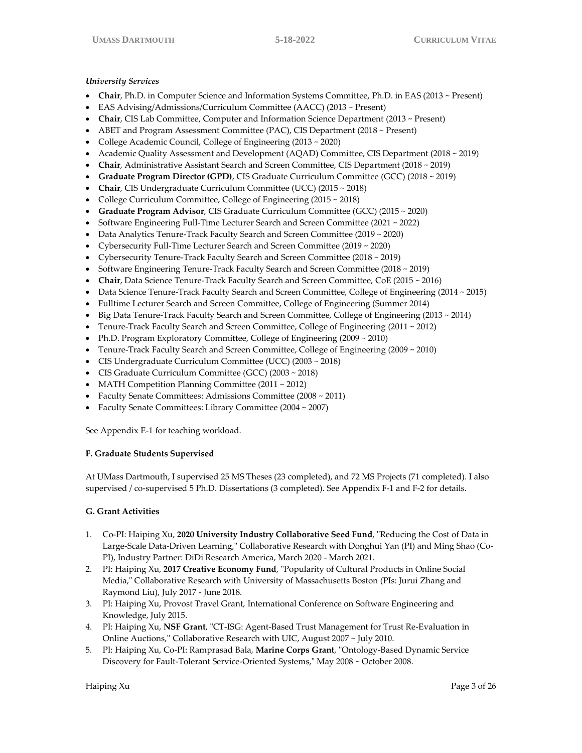# *University Services*

- **Chair**, Ph.D. in Computer Science and Information Systems Committee, Ph.D. in EAS (2013 ~ Present)
- EAS Advising/Admissions/Curriculum Committee (AACC) (2013 ~ Present)
- **Chair**, CIS Lab Committee, Computer and Information Science Department (2013 ~ Present)
- ABET and Program Assessment Committee (PAC), CIS Department (2018 ~ Present)
- College Academic Council, College of Engineering (2013 ~ 2020)
- Academic Quality Assessment and Development (AQAD) Committee, CIS Department (2018 ~ 2019)
- **Chair**, Administrative Assistant Search and Screen Committee, CIS Department (2018 ~ 2019)
- **Graduate Program Director (GPD)**, CIS Graduate Curriculum Committee (GCC) (2018 ~ 2019)
- **Chair**, CIS Undergraduate Curriculum Committee (UCC) (2015 ~ 2018)
- College Curriculum Committee, College of Engineering (2015 ~ 2018)
- **Graduate Program Advisor**, CIS Graduate Curriculum Committee (GCC) (2015 ~ 2020)
- Software Engineering Full-Time Lecturer Search and Screen Committee (2021 ~ 2022)
- Data Analytics Tenure-Track Faculty Search and Screen Committee (2019 ~ 2020)
- Cybersecurity Full-Time Lecturer Search and Screen Committee (2019 ~ 2020)
- Cybersecurity Tenure-Track Faculty Search and Screen Committee (2018 ~ 2019)
- Software Engineering Tenure-Track Faculty Search and Screen Committee (2018 ~ 2019)
- **Chair**, Data Science Tenure-Track Faculty Search and Screen Committee, CoE (2015 ~ 2016)
- Data Science Tenure-Track Faculty Search and Screen Committee, College of Engineering (2014 ~ 2015)
- Fulltime Lecturer Search and Screen Committee, College of Engineering (Summer 2014)
- Big Data Tenure-Track Faculty Search and Screen Committee, College of Engineering (2013 ~ 2014)
- Tenure-Track Faculty Search and Screen Committee, College of Engineering (2011 ~ 2012)
- Ph.D. Program Exploratory Committee, College of Engineering (2009 ~ 2010)
- Tenure-Track Faculty Search and Screen Committee, College of Engineering (2009 ~ 2010)
- CIS Undergraduate Curriculum Committee (UCC) (2003 ~ 2018)
- CIS Graduate Curriculum Committee (GCC) (2003 ~ 2018)
- MATH Competition Planning Committee (2011 ~ 2012)
- Faculty Senate Committees: Admissions Committee (2008 ~ 2011)
- Faculty Senate Committees: Library Committee (2004 ~ 2007)

See Appendix E-1 for teaching workload.

#### **F. Graduate Students Supervised**

At UMass Dartmouth, I supervised 25 MS Theses (23 completed), and 72 MS Projects (71 completed). I also supervised / co-supervised 5 Ph.D. Dissertations (3 completed). See Appendix F-1 and F-2 for details.

#### **G. Grant Activities**

- 1. Co-PI: Haiping Xu, **2020 University Industry Collaborative Seed Fund**, "Reducing the Cost of Data in Large-Scale Data-Driven Learning," Collaborative Research with Donghui Yan (PI) and Ming Shao (Co-PI), Industry Partner: DiDi Research America, March 2020 - March 2021.
- 2. PI: Haiping Xu, **2017 Creative Economy Fund**, "Popularity of Cultural Products in Online Social Media," Collaborative Research with University of Massachusetts Boston (PIs: Jurui Zhang and Raymond Liu), July 2017 - June 2018.
- 3. PI: Haiping Xu, Provost Travel Grant, International Conference on Software Engineering and Knowledge, July 2015.
- 4. PI: Haiping Xu, **NSF Grant**, "CT-ISG: Agent-Based Trust Management for Trust Re-Evaluation in Online Auctions," Collaborative Research with UIC, August 2007 ~ July 2010.
- 5. PI: Haiping Xu, Co-PI: Ramprasad Bala, **Marine Corps Grant**, "Ontology-Based Dynamic Service Discovery for Fault-Tolerant Service-Oriented Systems," May 2008 ~ October 2008.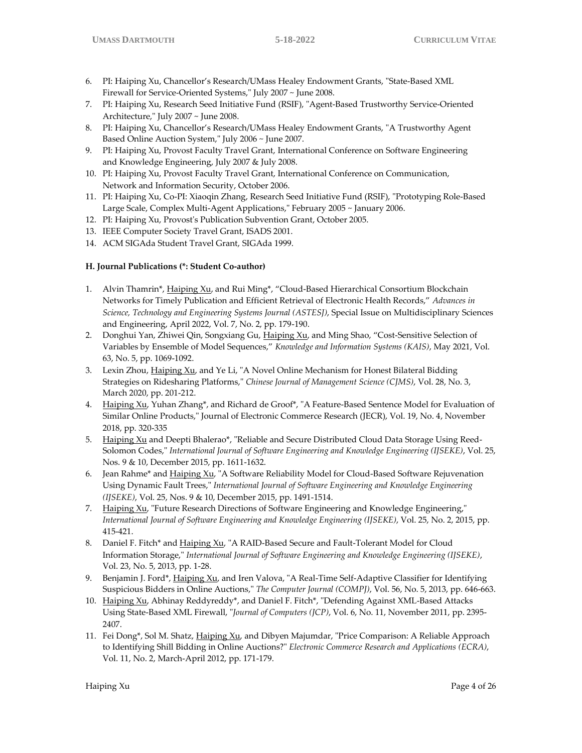- 6. PI: Haiping Xu, Chancellor's Research/UMass Healey Endowment Grants, "State-Based XML Firewall for Service-Oriented Systems," July 2007 ~ June 2008.
- 7. PI: Haiping Xu, Research Seed Initiative Fund (RSIF), "Agent-Based Trustworthy Service-Oriented Architecture," July 2007 ~ June 2008.
- 8. PI: Haiping Xu, Chancellor's Research/UMass Healey Endowment Grants, "A Trustworthy Agent Based Online Auction System," July 2006 ~ June 2007.
- 9. PI: Haiping Xu, Provost Faculty Travel Grant, International Conference on Software Engineering and Knowledge Engineering, July 2007 & July 2008.
- 10. PI: Haiping Xu, Provost Faculty Travel Grant, International Conference on Communication, Network and Information Security, October 2006.
- 11. PI: Haiping Xu, Co-PI: Xiaoqin Zhang, Research Seed Initiative Fund (RSIF), "Prototyping Role-Based Large Scale, Complex Multi-Agent Applications," February 2005 ~ January 2006.
- 12. PI: Haiping Xu, Provost's Publication Subvention Grant, October 2005.
- 13. IEEE Computer Society Travel Grant, ISADS 2001.
- 14. ACM SIGAda Student Travel Grant, SIGAda 1999.

#### **H. Journal Publications (\*: Student Co-author)**

- 1. Alvin Thamrin\*, Haiping Xu, and Rui Ming\*, "Cloud-Based Hierarchical Consortium Blockchain Networks for Timely Publication and Efficient Retrieval of Electronic Health Records," *Advances in Science, Technology and Engineering Systems Journal (ASTESJ)*, Special Issue on Multidisciplinary Sciences and Engineering, April 2022, Vol. 7, No. 2, pp. 179-190.
- 2. Donghui Yan, Zhiwei Qin, Songxiang Gu, Haiping Xu, and Ming Shao, "Cost-Sensitive Selection of Variables by Ensemble of Model Sequences," *Knowledge and Information Systems (KAIS)*, May 2021, Vol. 63, No. 5, pp. 1069-1092.
- 3. Lexin Zhou, Haiping Xu, and Ye Li, "A Novel Online Mechanism for Honest Bilateral Bidding Strategies on Ridesharing Platforms," *Chinese Journal of Management Science (CJMS)*, Vol. 28, No. 3, March 2020, pp. 201-212.
- 4. Haiping Xu, Yuhan Zhang\*, and Richard de Groof\*, "A Feature-Based Sentence Model for Evaluation of Similar Online Products," Journal of Electronic Commerce Research (JECR), Vol. 19, No. 4, November 2018, pp. 320-335
- 5. Haiping Xu and Deepti Bhalerao\*, "Reliable and Secure Distributed Cloud Data Storage Using Reed-Solomon Codes," *International Journal of Software Engineering and Knowledge Engineering (IJSEKE)*, Vol. 25, Nos. 9 & 10, December 2015, pp. 1611-1632.
- 6. Jean Rahme<sup>\*</sup> and Haiping Xu, "A Software Reliability Model for Cloud-Based Software Rejuvenation Using Dynamic Fault Trees," *International Journal of Software Engineering and Knowledge Engineering (IJSEKE)*, Vol. 25, Nos. 9 & 10, December 2015, pp. 1491-1514.
- 7. Haiping Xu, "Future Research Directions of Software Engineering and Knowledge Engineering," *International Journal of Software Engineering and Knowledge Engineering (IJSEKE)*, Vol. 25, No. 2, 2015, pp. 415-421.
- 8. Daniel F. Fitch<sup>\*</sup> and *Haiping Xu*, "A RAID-Based Secure and Fault-Tolerant Model for Cloud Information Storage," *International Journal of Software Engineering and Knowledge Engineering (IJSEKE)*, Vol. 23, No. 5, 2013, pp. 1-28.
- 9. Benjamin J. Ford<sup>\*</sup>, *Haiping Xu*, and Iren Valova, "A Real-Time Self-Adaptive Classifier for Identifying Suspicious Bidders in Online Auctions," *The Computer Journal (COMPJ)*, Vol. 56, No. 5, 2013, pp. 646-663.
- 10. *Haiping Xu*, Abhinay Reddyreddy\*, and Daniel F. Fitch\*, "Defending Against XML-Based Attacks Using State-Based XML Firewall, "*Journal of Computers (JCP)*, Vol. 6, No. 11, November 2011, pp. 2395- 2407.
- 11. Fei Dong\*, Sol M. Shatz, *Haiping Xu*, and Dibyen Majumdar, "Price Comparison: A Reliable Approach to Identifying Shill Bidding in Online Auctions?" *Electronic Commerce Research and Applications (ECRA)*, Vol. 11, No. 2, March-April 2012, pp. 171-179.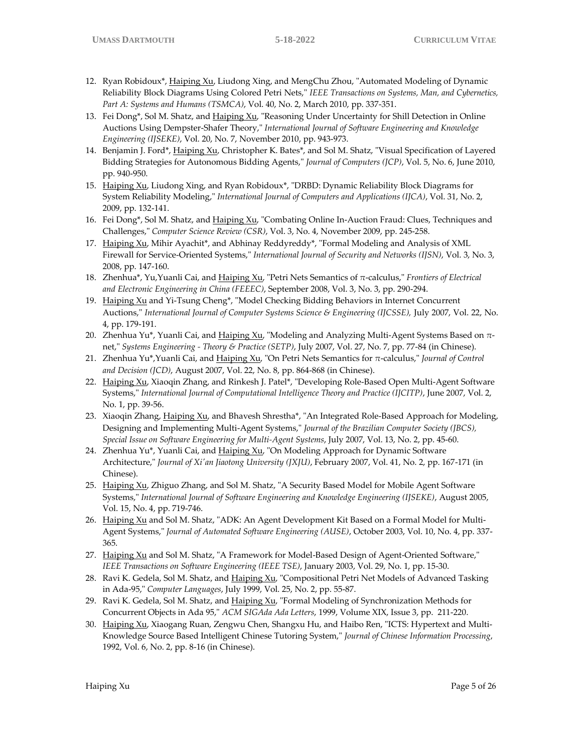- 12. Ryan Robidoux<sup>\*</sup>, *Haiping Xu*, Liudong Xing, and MengChu Zhou, "Automated Modeling of Dynamic Reliability Block Diagrams Using Colored Petri Nets," *IEEE Transactions on Systems, Man, and Cybernetics, Part A: Systems and Humans (TSMCA)*, Vol. 40, No. 2, March 2010, pp. 337-351.
- 13. Fei Dong\*, Sol M. Shatz, and *Haiping Xu*, "Reasoning Under Uncertainty for Shill Detection in Online Auctions Using Dempster-Shafer Theory," *International Journal of Software Engineering and Knowledge Engineering (IJSEKE)*, Vol. 20, No. 7, November 2010, pp. 943-973.
- 14. Benjamin J. Ford<sup>\*</sup>, *Haiping Xu*, Christopher K. Bates<sup>\*</sup>, and Sol M. Shatz, "Visual Specification of Layered Bidding Strategies for Autonomous Bidding Agents," *Journal of Computers (JCP)*, Vol. 5, No. 6, June 2010, pp. 940-950.
- 15. Haiping Xu, Liudong Xing, and Ryan Robidoux<sup>\*</sup>, "DRBD: Dynamic Reliability Block Diagrams for System Reliability Modeling," *International Journal of Computers and Applications (IJCA)*, Vol. 31, No. 2, 2009, pp. 132-141.
- 16. Fei Dong\*, Sol M. Shatz, and *Haiping Xu*, "Combating Online In-Auction Fraud: Clues, Techniques and Challenges," *Computer Science Review (CSR)*, Vol. 3, No. 4, November 2009, pp. 245-258.
- 17. Haiping Xu, Mihir Ayachit\*, and Abhinay Reddyreddy\*, "Formal Modeling and Analysis of XML Firewall for Service-Oriented Systems," *International Journal of Security and Networks (IJSN)*, Vol. 3, No. 3, 2008, pp. 147-160.
- 18. Zhenhua\*, Yu, Yuanli Cai, and *Haiping Xu*, "Petri Nets Semantics of π-calculus," *Frontiers of Electrical and Electronic Engineering in China (FEEEC)*, September 2008, Vol. 3, No. 3, pp. 290-294.
- 19. Haiping Xu and Yi-Tsung Cheng\*, "Model Checking Bidding Behaviors in Internet Concurrent Auctions," *International Journal of Computer Systems Science & Engineering (IJCSSE),* July 2007, Vol. 22, No. 4, pp. 179-191.
- 20. Zhenhua Yu\*, Yuanli Cai, and *U*Haiping Xu*U*, "Modeling and Analyzing Multi-Agent Systems Based on *π*net," *Systems Engineering - Theory & Practice (SETP)*, July 2007, Vol. 27, No. 7, pp. 77-84 (in Chinese).
- 21. Zhenhua Yu\*,Yuanli Cai, and *U*Haiping Xu*U*, "On Petri Nets Semantics for *π*-calculus," *Journal of Control and Decision (JCD)*, August 2007, Vol. 22, No. 8, pp. 864-868 (in Chinese).
- 22. Haiping Xu, Xiaoqin Zhang, and Rinkesh J. Patel\*, "Developing Role-Based Open Multi-Agent Software Systems," *International Journal of Computational Intelligence Theory and Practice (IJCITP)*, June 2007, Vol. 2, No. 1, pp. 39-56.
- 23. Xiaoqin Zhang, Haiping Xu, and Bhavesh Shrestha<sup>\*</sup>, "An Integrated Role-Based Approach for Modeling, Designing and Implementing Multi-Agent Systems," *Journal of the Brazilian Computer Society (JBCS), Special Issue on Software Engineering for Multi-Agent Systems*, July 2007, Vol. 13, No. 2, pp. 45-60.
- 24. Zhenhua Yu\*, Yuanli Cai, and Haiping Xu, "On Modeling Approach for Dynamic Software Architecture," *Journal of Xi'an Jiaotong University (JXJU)*, February 2007, Vol. 41, No. 2, pp. 167-171 (in Chinese).
- 25. Haiping Xu, Zhiguo Zhang, and Sol M. Shatz, "A Security Based Model for Mobile Agent Software Systems," *International Journal of Software Engineering and Knowledge Engineering (IJSEKE)*, August 2005, Vol. 15, No. 4, pp. 719-746.
- 26. Haiping Xu and Sol M. Shatz, "ADK: An Agent Development Kit Based on a Formal Model for Multi-Agent Systems," *Journal of Automated Software Engineering (AUSE)*, October 2003, Vol. 10, No. 4, pp. 337- 365.
- 27. Haiping Xu and Sol M. Shatz, "A Framework for Model-Based Design of Agent-Oriented Software," *IEEE Transactions on Software Engineering (IEEE TSE)*, January 2003, Vol. 29, No. 1, pp. 15-30.
- 28. Ravi K. Gedela, Sol M. Shatz, and *Haiping Xu*, "Compositional Petri Net Models of Advanced Tasking in Ada-95," *Computer Languages*, July 1999, Vol. 25, No. 2, pp. 55-87.
- 29. Ravi K. Gedela, Sol M. Shatz, and *Haiping Xu*, "Formal Modeling of Synchronization Methods for Concurrent Objects in Ada 95," *ACM SIGAda Ada Letters*, 1999, Volume XIX, Issue 3, pp. 211-220.
- 30. Haiping Xu, Xiaogang Ruan, Zengwu Chen, Shangxu Hu, and Haibo Ren, "ICTS: Hypertext and Multi-Knowledge Source Based Intelligent Chinese Tutoring System," *Journal of Chinese Information Processing*, 1992, Vol. 6, No. 2, pp. 8-16 (in Chinese).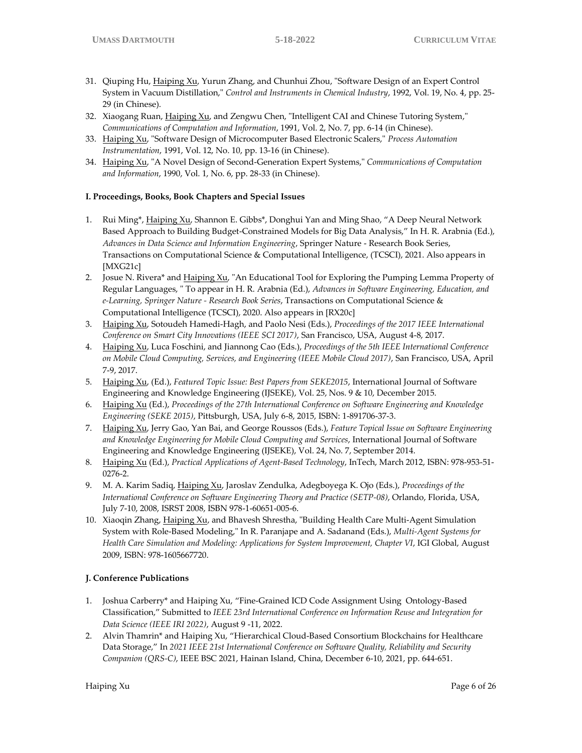- 31. Qiuping Hu, *U*Haiping Xu*U*, Yurun Zhang, and Chunhui Zhou, "Software Design of an Expert Control System in Vacuum Distillation," *Control and Instruments in Chemical Industry*, 1992, Vol. 19, No. 4, pp. 25- 29 (in Chinese).
- 32. Xiaogang Ruan, *Haiping Xu*, and Zengwu Chen, "Intelligent CAI and Chinese Tutoring System," *Communications of Computation and Information*, 1991, Vol. 2, No. 7, pp. 6-14 (in Chinese).
- 33. Haiping Xu, "Software Design of Microcomputer Based Electronic Scalers," *Process Automation Instrumentation*, 1991, Vol. 12, No. 10, pp. 13-16 (in Chinese).
- 34. Haiping Xu, "A Novel Design of Second-Generation Expert Systems," Communications of Computation *and Information*, 1990, Vol. 1, No. 6, pp. 28-33 (in Chinese).

#### **I. Proceedings, Books, Book Chapters and Special Issues**

- 1. Rui Ming\*, Haiping Xu, Shannon E. Gibbs\*, Donghui Yan and Ming Shao, "A Deep Neural Network Based Approach to Building Budget-Constrained Models for Big Data Analysis," In H. R. Arabnia (Ed.), *Advances in Data Science and Information Engineering*, Springer Nature - Research Book Series, Transactions on Computational Science & Computational Intelligence, (TCSCI), 2021. Also appears in [MXG21c]
- 2. Josue N. Rivera\* and Haiping Xu, "An Educational Tool for Exploring the Pumping Lemma Property of Regular Languages, " To appear in H. R. Arabnia (Ed.), *Advances in Software Engineering, Education, and e-Learning, Springer Nature - Research Book Series*, Transactions on Computational Science & Computational Intelligence (TCSCI), 2020. Also appears in [RX20c]
- 3. Haiping Xu, Sotoudeh Hamedi-Hagh, and Paolo Nesi (Eds.), *Proceedings of the 2017 IEEE International Conference on Smart City Innovations (IEEE SCI 2017)*, San Francisco, USA, August 4-8, 2017.
- 4. Haiping Xu, Luca Foschini, and Jiannong Cao (Eds.), *Proceedings of the 5th IEEE International Conference on Mobile Cloud Computing, Services, and Engineering (IEEE Mobile Cloud 2017)*, San Francisco, USA, April 7-9, 2017.
- 5. Haiping Xu, (Ed.), *Featured Topic Issue: Best Papers from SEKE2015*, International Journal of Software Engineering and Knowledge Engineering (IJSEKE), Vol. 25, Nos. 9 & 10, December 2015.
- 6. *<sup>U</sup>*Haiping Xu*<sup>U</sup>* (Ed.), *Proceedings of the 27th International Conference on Software Engineering and Knowledge Engineering (SEKE 2015)*, Pittsburgh, USA, July 6-8, 2015, ISBN: 1-891706-37-3.
- 7. *<sup>U</sup>*Haiping Xu*U*, Jerry Gao, Yan Bai, and George Roussos (Eds.), *Feature Topical Issue on Software Engineering and Knowledge Engineering for Mobile Cloud Computing and Services*, International Journal of Software Engineering and Knowledge Engineering (IJSEKE), Vol. 24, No. 7, September 2014.
- 8. *Haiping Xu (Ed.), Practical Applications of Agent-Based Technology, InTech, March 2012, ISBN: 978-953-51-*0276-2.
- 9. M. A. Karim Sadiq, *Haiping Xu*, Jaroslav Zendulka, Adegboyega K. Ojo (Eds.), *Proceedings of the International Conference on Software Engineering Theory and Practice (SETP-08)*, Orlando, Florida, USA, July 7-10, 2008, ISRST 2008, ISBN 978-1-60651-005-6.
- 10. Xiaoqin Zhang, Haiping Xu, and Bhavesh Shrestha, "Building Health Care Multi-Agent Simulation System with Role-Based Modeling," In R. Paranjape and A. Sadanand (Eds.), *Multi-Agent Systems for Health Care Simulation and Modeling: Applications for System Improvement, Chapter VI*, IGI Global, August 2009, ISBN: 978-1605667720.

#### **J. Conference Publications**

- 1. Joshua Carberry\* and Haiping Xu, "Fine-Grained ICD Code Assignment Using Ontology-Based Classification," Submitted to *IEEE 23rd International Conference on Information Reuse and Integration for Data Science (IEEE IRI 2022)*, August 9 -11, 2022.
- 2. Alvin Thamrin\* and Haiping Xu, "Hierarchical Cloud-Based Consortium Blockchains for Healthcare Data Storage," In *2021 IEEE 21st International Conference on Software Quality, Reliability and Security Companion (QRS-C)*, IEEE BSC 2021, Hainan Island, China, December 6-10, 2021, pp. 644-651.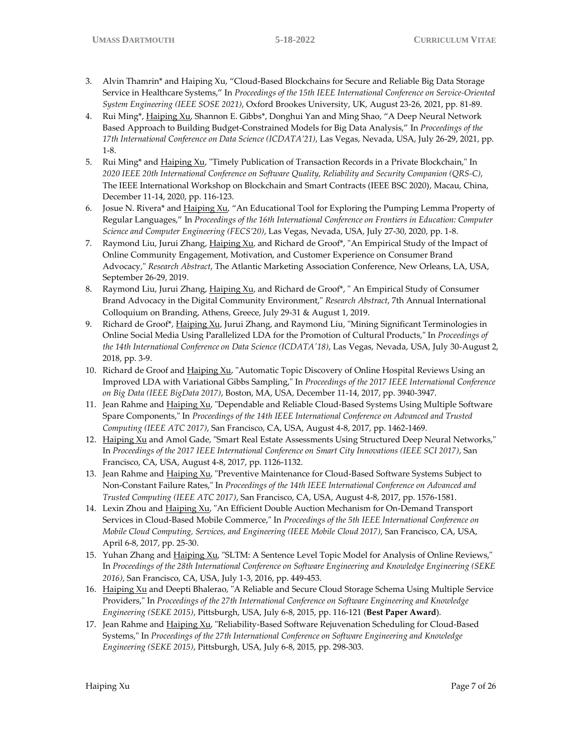- 3. Alvin Thamrin\* and Haiping Xu, "Cloud-Based Blockchains for Secure and Reliable Big Data Storage Service in Healthcare Systems," In *Proceedings of the 15th IEEE International Conference on Service-Oriented System Engineering (IEEE SOSE 2021)*, Oxford Brookes University, UK, August 23-26, 2021, pp. 81-89.
- 4. Rui Ming\*, Haiping Xu, Shannon E. Gibbs\*, Donghui Yan and Ming Shao, "A Deep Neural Network Based Approach to Building Budget-Constrained Models for Big Data Analysis," In *Proceedings of the 17th International Conference on Data Science (ICDATA'21)*, Las Vegas, Nevada, USA, July 26-29, 2021, pp. 1-8.
- 5. Rui Ming<sup>\*</sup> and Haiping Xu, "Timely Publication of Transaction Records in a Private Blockchain," In *2020 IEEE 20th International Conference on Software Quality, Reliability and Security Companion (QRS-C)*, The IEEE International Workshop on Blockchain and Smart Contracts (IEEE BSC 2020), Macau, China, December 11-14, 2020, pp. 116-123.
- 6. Josue N. Rivera\* and Haiping Xu, "An Educational Tool for Exploring the Pumping Lemma Property of Regular Languages," In *Proceedings of the 16th International Conference on Frontiers in Education: Computer Science and Computer Engineering (FECS'20)*, Las Vegas, Nevada, USA, July 27-30, 2020, pp. 1-8.
- 7. Raymond Liu, Jurui Zhang, Haiping Xu, and Richard de Groof\*, "An Empirical Study of the Impact of Online Community Engagement, Motivation, and Customer Experience on Consumer Brand Advocacy," *Research Abstract*, The Atlantic Marketing Association Conference, New Orleans, LA, USA, September 26-29, 2019.
- 8. Raymond Liu, Jurui Zhang, Haiping Xu, and Richard de Groof\*, "An Empirical Study of Consumer Brand Advocacy in the Digital Community Environment," *Research Abstract*, 7th Annual International Colloquium on Branding, Athens, Greece, July 29-31 & August 1, 2019.
- 9. Richard de Groof\*, Haiping Xu, Jurui Zhang, and Raymond Liu, "Mining Significant Terminologies in Online Social Media Using Parallelized LDA for the Promotion of Cultural Products," In *Proceedings of the 14th International Conference on Data Science (ICDATA'18)*, Las Vegas, Nevada, USA, July 30-August 2, 2018, pp. 3-9.
- 10. Richard de Groof and Haiping Xu, "Automatic Topic Discovery of Online Hospital Reviews Using an Improved LDA with Variational Gibbs Sampling," In *Proceedings of the 2017 IEEE International Conference on Big Data (IEEE BigData 2017)*, Boston, MA, USA, December 11-14, 2017, pp. 3940-3947.
- 11. Jean Rahme and Haiping Xu, "Dependable and Reliable Cloud-Based Systems Using Multiple Software Spare Components," In *Proceedings of the 14th IEEE International Conference on Advanced and Trusted Computing (IEEE ATC 2017)*, San Francisco, CA, USA, August 4-8, 2017, pp. 1462-1469.
- 12. Haiping Xu and Amol Gade, "Smart Real Estate Assessments Using Structured Deep Neural Networks," In *Proceedings of the 2017 IEEE International Conference on Smart City Innovations (IEEE SCI 2017)*, San Francisco, CA, USA, August 4-8, 2017, pp. 1126-1132.
- 13. Jean Rahme and Haiping Xu, "Preventive Maintenance for Cloud-Based Software Systems Subject to Non-Constant Failure Rates," In *Proceedings of the 14th IEEE International Conference on Advanced and Trusted Computing (IEEE ATC 2017)*, San Francisco, CA, USA, August 4-8, 2017, pp. 1576-1581.
- 14. Lexin Zhou and Haiping Xu, "An Efficient Double Auction Mechanism for On-Demand Transport Services in Cloud-Based Mobile Commerce," In *Proceedings of the 5th IEEE International Conference on Mobile Cloud Computing, Services, and Engineering (IEEE Mobile Cloud 2017)*, San Francisco, CA, USA, April 6-8, 2017, pp. 25-30.
- 15. Yuhan Zhang and Haiping Xu, "SLTM: A Sentence Level Topic Model for Analysis of Online Reviews," In *Proceedings of the 28th International Conference on Software Engineering and Knowledge Engineering (SEKE 2016)*, San Francisco, CA, USA, July 1-3, 2016, pp. 449-453.
- 16. Haiping Xu and Deepti Bhalerao, "A Reliable and Secure Cloud Storage Schema Using Multiple Service Providers," In *Proceedings of the 27th International Conference on Software Engineering and Knowledge Engineering (SEKE 2015)*, Pittsburgh, USA, July 6-8, 2015, pp. 116-121 (**Best Paper Award**).
- 17. Jean Rahme and Haiping Xu, "Reliability-Based Software Rejuvenation Scheduling for Cloud-Based Systems," In *Proceedings of the 27th International Conference on Software Engineering and Knowledge Engineering (SEKE 2015)*, Pittsburgh, USA, July 6-8, 2015, pp. 298-303.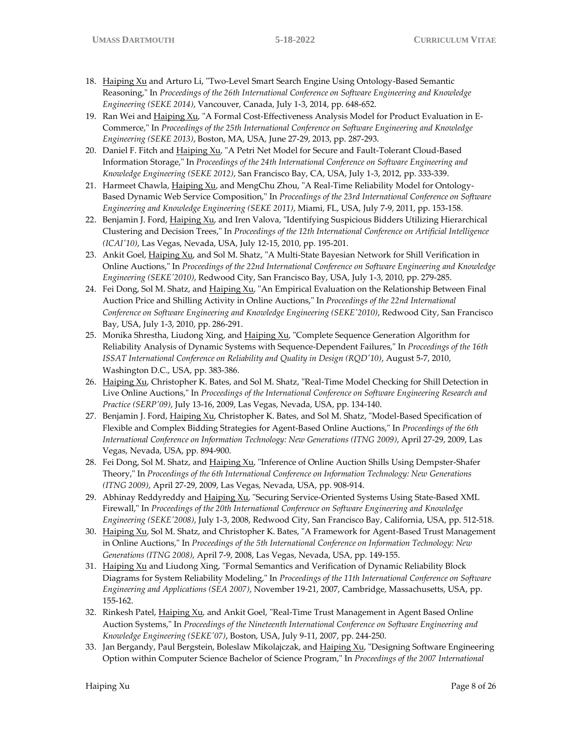- 18. Haiping Xu and Arturo Li, "Two-Level Smart Search Engine Using Ontology-Based Semantic Reasoning," In *Proceedings of the 26th International Conference on Software Engineering and Knowledge Engineering (SEKE 2014)*, Vancouver, Canada, July 1-3, 2014, pp. 648-652.
- 19. Ran Wei and *Haiping Xu*, "A Formal Cost-Effectiveness Analysis Model for Product Evaluation in E-Commerce," In *Proceedings of the 25th International Conference on Software Engineering and Knowledge Engineering (SEKE 2013)*, Boston, MA, USA, June 27-29, 2013, pp. 287-293.
- 20. Daniel F. Fitch and *Haiping Xu*, "A Petri Net Model for Secure and Fault-Tolerant Cloud-Based Information Storage," In *Proceedings of the 24th International Conference on Software Engineering and Knowledge Engineering (SEKE 2012)*, San Francisco Bay, CA, USA, July 1-3, 2012, pp. 333-339.
- 21. Harmeet Chawla, *Haiping Xu*, and MengChu Zhou, "A Real-Time Reliability Model for Ontology-Based Dynamic Web Service Composition," In *Proceedings of the 23rd International Conference on Software Engineering and Knowledge Engineering (SEKE 2011)*, Miami, FL, USA, July 7-9, 2011, pp. 153-158.
- 22. Benjamin J. Ford, *Haiping Xu*, and Iren Valova, "Identifying Suspicious Bidders Utilizing Hierarchical Clustering and Decision Trees," In *Proceedings of the 12th International Conference on Artificial Intelligence (ICAI'10)*, Las Vegas, Nevada, USA, July 12-15, 2010, pp. 195-201.
- 23. Ankit Goel, *Haiping Xu*, and Sol M. Shatz, "A Multi-State Bayesian Network for Shill Verification in Online Auctions," In *Proceedings of the 22nd International Conference on Software Engineering and Knowledge Engineering (SEKE'2010)*, Redwood City, San Francisco Bay, USA, July 1-3, 2010, pp. 279-285.
- 24. Fei Dong, Sol M. Shatz, and *Haiping Xu*, "An Empirical Evaluation on the Relationship Between Final Auction Price and Shilling Activity in Online Auctions," In *Proceedings of the 22nd International Conference on Software Engineering and Knowledge Engineering (SEKE'2010)*, Redwood City, San Francisco Bay, USA, July 1-3, 2010, pp. 286-291.
- 25. Monika Shrestha, Liudong Xing, and Haiping Xu, "Complete Sequence Generation Algorithm for Reliability Analysis of Dynamic Systems with Sequence-Dependent Failures," In *Proceedings of the 16th ISSAT International Conference on Reliability and Quality in Design (RQD'10)*, August 5-7, 2010, Washington D.C., USA, pp. 383-386.
- 26. Haiping Xu, Christopher K. Bates, and Sol M. Shatz, "Real-Time Model Checking for Shill Detection in Live Online Auctions," In *Proceedings of the International Conference on Software Engineering Research and Practice (SERP'09)*, July 13-16, 2009, Las Vegas, Nevada, USA, pp. 134-140.
- 27. Benjamin J. Ford, *Haiping Xu*, Christopher K. Bates, and Sol M. Shatz, "Model-Based Specification of Flexible and Complex Bidding Strategies for Agent-Based Online Auctions," In *Proceedings of the 6th International Conference on Information Technology: New Generations (ITNG 2009)*, April 27-29, 2009, Las Vegas, Nevada, USA, pp. 894-900.
- 28. Fei Dong, Sol M. Shatz, and *Haiping Xu*, "Inference of Online Auction Shills Using Dempster-Shafer Theory," In *Proceedings of the 6th International Conference on Information Technology: New Generations (ITNG 2009)*, April 27-29, 2009, Las Vegas, Nevada, USA, pp. 908-914.
- 29. Abhinay Reddyreddy and *Haiping Xu*, "Securing Service-Oriented Systems Using State-Based XML Firewall," In *Proceedings of the 20th International Conference on Software Engineering and Knowledge Engineering (SEKE'2008)*, July 1-3, 2008, Redwood City, San Francisco Bay, California, USA, pp. 512-518.
- 30. Haiping Xu, Sol M. Shatz, and Christopher K. Bates, "A Framework for Agent-Based Trust Management in Online Auctions," In *Proceedings of the 5th International Conference on Information Technology: New Generations (ITNG 2008)*, April 7-9, 2008, Las Vegas, Nevada, USA, pp. 149-155.
- 31. Haiping Xu and Liudong Xing, "Formal Semantics and Verification of Dynamic Reliability Block Diagrams for System Reliability Modeling," In *Proceedings of the 11th International Conference on Software Engineering and Applications (SEA 2007)*, November 19-21, 2007, Cambridge, Massachusetts, USA, pp. 155-162.
- 32. Rinkesh Patel, *Haiping Xu*, and Ankit Goel, "Real-Time Trust Management in Agent Based Online Auction Systems," In *Proceedings of the Nineteenth International Conference on Software Engineering and Knowledge Engineering (SEKE'07)*, Boston, USA, July 9-11, 2007, pp. 244-250.
- 33. Jan Bergandy, Paul Bergstein, Boleslaw Mikolajczak, and Haiping Xu, "Designing Software Engineering Option within Computer Science Bachelor of Science Program," In *Proceedings of the 2007 International*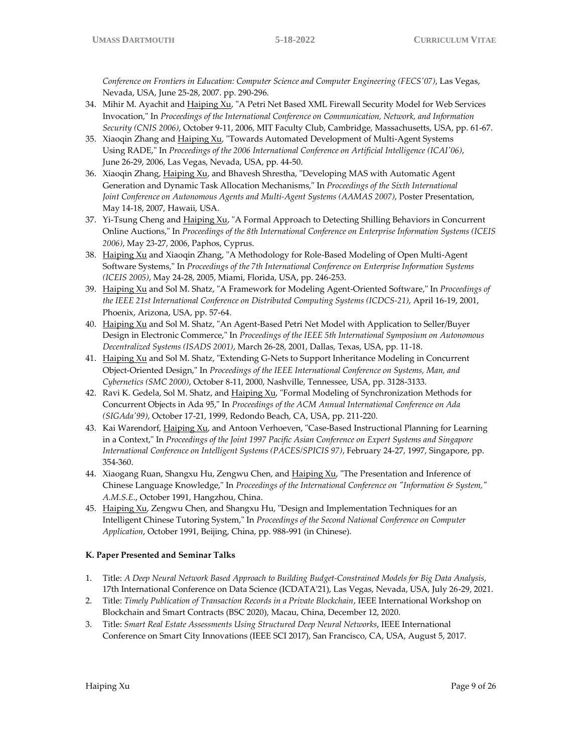*Conference on Frontiers in Education: Computer Science and Computer Engineering (FECS'07)*, Las Vegas, Nevada, USA, June 25-28, 2007. pp. 290-296.

- 34. Mihir M. Ayachit and *Haiping Xu*, "A Petri Net Based XML Firewall Security Model for Web Services Invocation," In *Proceedings of the International Conference on Communication, Network, and Information Security (CNIS 2006)*, October 9-11, 2006, MIT Faculty Club, Cambridge, Massachusetts, USA, pp. 61-67.
- 35. Xiaoqin Zhang and *Haiping Xu*, "Towards Automated Development of Multi-Agent Systems Using RADE," In *Proceedings of the 2006 International Conference on Artificial Intelligence (ICAI'06)*, June 26-29, 2006, Las Vegas, Nevada, USA, pp. 44-50.
- 36. Xiaoqin Zhang, *Haiping Xu*, and Bhavesh Shrestha, "Developing MAS with Automatic Agent Generation and Dynamic Task Allocation Mechanisms," In *Proceedings of the Sixth International Joint Conference on Autonomous Agents and Multi-Agent Systems (AAMAS 2007)*, Poster Presentation, May 14-18, 2007, Hawaii, USA.
- 37. Yi-Tsung Cheng and *Haiping Xu*, "A Formal Approach to Detecting Shilling Behaviors in Concurrent Online Auctions," In *Proceedings of the 8th International Conference on Enterprise Information Systems (ICEIS 2006)*, May 23-27, 2006, Paphos, Cyprus.
- 38. Haiping Xu and Xiaoqin Zhang, "A Methodology for Role-Based Modeling of Open Multi-Agent Software Systems," In *Proceedings of the 7th International Conference on Enterprise Information Systems (ICEIS 2005)*, May 24-28, 2005, Miami, Florida, USA, pp. 246-253.
- 39. Haiping Xu and Sol M. Shatz, "A Framework for Modeling Agent-Oriented Software," In *Proceedings of the IEEE 21st International Conference on Distributed Computing Systems (ICDCS-21)*, April 16-19, 2001, Phoenix, Arizona, USA, pp. 57-64.
- 40. Haiping Xu and Sol M. Shatz, "An Agent-Based Petri Net Model with Application to Seller/Buyer Design in Electronic Commerce," In *Proceedings of the IEEE 5th International Symposium on Autonomous Decentralized Systems (ISADS 2001)*, March 26-28, 2001, Dallas, Texas, USA, pp. 11-18.
- 41. Haiping Xu and Sol M. Shatz, "Extending G-Nets to Support Inheritance Modeling in Concurrent Object-Oriented Design," In *Proceedings of the IEEE International Conference on Systems, Man, and Cybernetics (SMC 2000)*, October 8-11, 2000, Nashville, Tennessee, USA, pp. 3128-3133.
- 42. Ravi K. Gedela, Sol M. Shatz, and *Haiping Xu*, "Formal Modeling of Synchronization Methods for Concurrent Objects in Ada 95," In *Proceedings of the ACM Annual International Conference on Ada (SIGAda'99)*, October 17-21, 1999, Redondo Beach, CA, USA, pp. 211-220.
- 43. Kai Warendorf, *Haiping Xu*, and Antoon Verhoeven, "Case-Based Instructional Planning for Learning in a Context," In *Proceedings of the Joint 1997 Pacific Asian Conference on Expert Systems and Singapore International Conference on Intelligent Systems (PACES/SPICIS 97)*, February 24-27, 1997, Singapore, pp. 354-360.
- 44. Xiaogang Ruan, Shangxu Hu, Zengwu Chen, and Haiping Xu, "The Presentation and Inference of Chinese Language Knowledge," In *Proceedings of the International Conference on "Information & System," A.M.S.E*., October 1991, Hangzhou, China.
- 45. Haiping Xu, Zengwu Chen, and Shangxu Hu, "Design and Implementation Techniques for an Intelligent Chinese Tutoring System," In *Proceedings of the Second National Conference on Computer Application*, October 1991, Beijing, China, pp. 988-991 (in Chinese).

#### **K. Paper Presented and Seminar Talks**

- 1. Title: *A Deep Neural Network Based Approach to Building Budget-Constrained Models for Big Data Analysis*, 17th International Conference on Data Science (ICDATA'21), Las Vegas, Nevada, USA, July 26-29, 2021.
- 2. Title: *Timely Publication of Transaction Records in a Private Blockchain*, IEEE International Workshop on Blockchain and Smart Contracts (BSC 2020), Macau, China, December 12, 2020.
- 3. Title: *Smart Real Estate Assessments Using Structured Deep Neural Networks*, IEEE International Conference on Smart City Innovations (IEEE SCI 2017), San Francisco, CA, USA, August 5, 2017.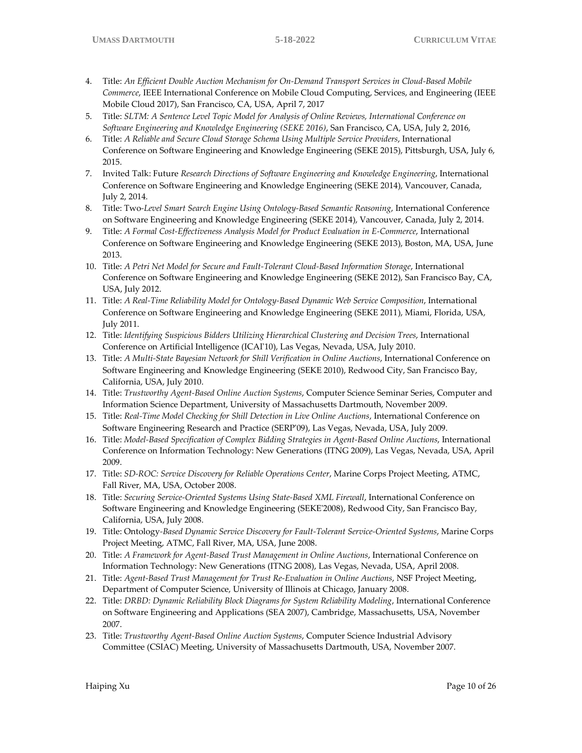- 4. Title: *An Efficient Double Auction Mechanism for On-Demand Transport Services in Cloud-Based Mobile Commerce*, IEEE International Conference on Mobile Cloud Computing, Services, and Engineering (IEEE Mobile Cloud 2017), San Francisco, CA, USA, April 7, 2017
- 5. Title: *SLTM: A Sentence Level Topic Model for Analysis of Online Reviews, International Conference on Software Engineering and Knowledge Engineering (SEKE 2016)*, San Francisco, CA, USA, July 2, 2016,
- 6. Title: *A Reliable and Secure Cloud Storage Schema Using Multiple Service Providers*, International Conference on Software Engineering and Knowledge Engineering (SEKE 2015), Pittsburgh, USA, July 6, 2015.
- 7. Invited Talk: Future *Research Directions of Software Engineering and Knowledge Engineering*, International Conference on Software Engineering and Knowledge Engineering (SEKE 2014), Vancouver, Canada, July 2, 2014.
- 8. Title: Two*-Level Smart Search Engine Using Ontology-Based Semantic Reasoning*, International Conference on Software Engineering and Knowledge Engineering (SEKE 2014), Vancouver, Canada, July 2, 2014.
- 9. Title: *A Formal Cost-Effectiveness Analysis Model for Product Evaluation in E-Commerce*, International Conference on Software Engineering and Knowledge Engineering (SEKE 2013), Boston, MA, USA, June 2013.
- 10. Title: *A Petri Net Model for Secure and Fault-Tolerant Cloud-Based Information Storage*, International Conference on Software Engineering and Knowledge Engineering (SEKE 2012), San Francisco Bay, CA, USA, July 2012.
- 11. Title: *A Real-Time Reliability Model for Ontology-Based Dynamic Web Service Composition*, International Conference on Software Engineering and Knowledge Engineering (SEKE 2011), Miami, Florida, USA, July 2011.
- 12. Title: *Identifying Suspicious Bidders Utilizing Hierarchical Clustering and Decision Trees*, International Conference on Artificial Intelligence (ICAI'10), Las Vegas, Nevada, USA, July 2010.
- 13. Title: *A Multi-State Bayesian Network for Shill Verification in Online Auctions*, International Conference on Software Engineering and Knowledge Engineering (SEKE 2010), Redwood City, San Francisco Bay, California, USA, July 2010.
- 14. Title: *Trustworthy Agent-Based Online Auction Systems*, Computer Science Seminar Series, Computer and Information Science Department, University of Massachusetts Dartmouth, November 2009.
- 15. Title: *Real-Time Model Checking for Shill Detection in Live Online Auctions*, International Conference on Software Engineering Research and Practice (SERP'09), Las Vegas, Nevada, USA, July 2009.
- 16. Title: *Model-Based Specification of Complex Bidding Strategies in Agent-Based Online Auctions*, International Conference on Information Technology: New Generations (ITNG 2009), Las Vegas, Nevada, USA, April 2009.
- 17. Title: *SD-ROC: Service Discovery for Reliable Operations Center*, Marine Corps Project Meeting, ATMC, Fall River, MA, USA, October 2008.
- 18. Title: Securing Service-Oriented Systems Using State-Based XML Firewall, International Conference on Software Engineering and Knowledge Engineering (SEKE'2008), Redwood City, San Francisco Bay, California, USA, July 2008.
- 19. Title: Ontology*-Based Dynamic Service Discovery for Fault-Tolerant Service-Oriented Systems*, Marine Corps Project Meeting, ATMC, Fall River, MA, USA, June 2008.
- 20. Title: *A Framework for Agent-Based Trust Management in Online Auctions*, International Conference on Information Technology: New Generations (ITNG 2008), Las Vegas, Nevada, USA, April 2008.
- 21. Title: *Agent-Based Trust Management for Trust Re-Evaluation in Online Auctions*, NSF Project Meeting, Department of Computer Science, University of Illinois at Chicago, January 2008.
- 22. Title: *DRBD: Dynamic Reliability Block Diagrams for System Reliability Modeling*, International Conference on Software Engineering and Applications (SEA 2007), Cambridge, Massachusetts, USA, November 2007.
- 23. Title: *Trustworthy Agent-Based Online Auction Systems*, Computer Science Industrial Advisory Committee (CSIAC) Meeting, University of Massachusetts Dartmouth, USA, November 2007.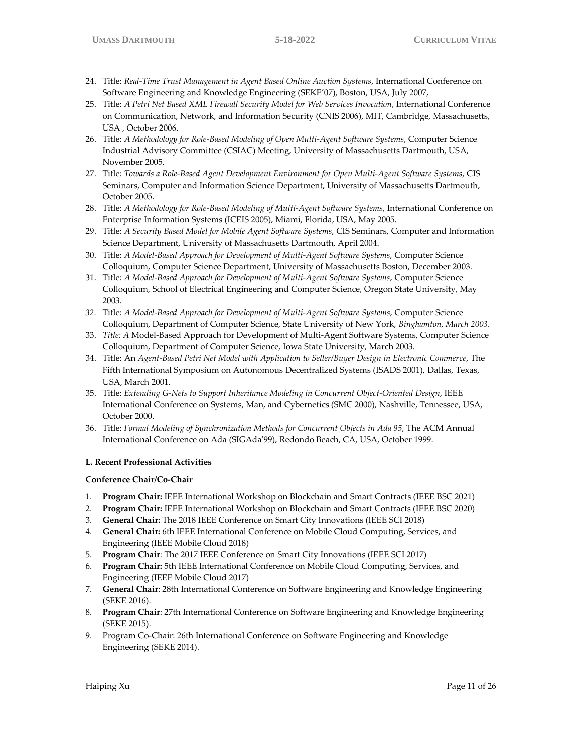- 24. Title: *Real-Time Trust Management in Agent Based Online Auction Systems*, International Conference on Software Engineering and Knowledge Engineering (SEKE'07), Boston, USA, July 2007,
- 25. Title: *A Petri Net Based XML Firewall Security Model for Web Services Invocation*, International Conference on Communication, Network, and Information Security (CNIS 2006), MIT, Cambridge, Massachusetts, USA , October 2006.
- 26. Title: *A Methodology for Role-Based Modeling of Open Multi-Agent Software Systems*, Computer Science Industrial Advisory Committee (CSIAC) Meeting, University of Massachusetts Dartmouth, USA, November 2005.
- 27. Title: *Towards a Role-Based Agent Development Environment for Open Multi-Agent Software Systems*, CIS Seminars, Computer and Information Science Department, University of Massachusetts Dartmouth, October 2005.
- 28. Title: *A Methodology for Role-Based Modeling of Multi-Agent Software Systems*, International Conference on Enterprise Information Systems (ICEIS 2005), Miami, Florida, USA, May 2005.
- 29. Title: *A Security Based Model for Mobile Agent Software Systems*, CIS Seminars, Computer and Information Science Department, University of Massachusetts Dartmouth, April 2004.
- 30. Title: *A Model-Based Approach for Development of Multi-Agent Software Systems*, Computer Science Colloquium, Computer Science Department, University of Massachusetts Boston, December 2003.
- 31. Title: *A Model-Based Approach for Development of Multi-Agent Software Systems*, Computer Science Colloquium, School of Electrical Engineering and Computer Science, Oregon State University, May 2003.
- *32.* Title: *A Model-Based Approach for Development of Multi-Agent Software Systems*, Computer Science Colloquium, Department of Computer Science, State University of New York, *Binghamton, March 2003.*
- 33. *Title: A* Model-Based Approach for Development of Multi-Agent Software Systems, Computer Science Colloquium, Department of Computer Science, Iowa State University, March 2003.
- 34. Title: An *Agent-Based Petri Net Model with Application to Seller/Buyer Design in Electronic Commerce*, The Fifth International Symposium on Autonomous Decentralized Systems (ISADS 2001), Dallas, Texas, USA, March 2001.
- 35. Title: *Extending G-Nets to Support Inheritance Modeling in Concurrent Object-Oriented Design*, IEEE International Conference on Systems, Man, and Cybernetics (SMC 2000), Nashville, Tennessee, USA, October 2000.
- 36. Title: *Formal Modeling of Synchronization Methods for Concurrent Objects in Ada 95*, The ACM Annual International Conference on Ada (SIGAda'99), Redondo Beach, CA, USA, October 1999.

#### **L. Recent Professional Activities**

#### **Conference Chair/Co-Chair**

- 1. **Program Chair:** IEEE International Workshop on Blockchain and Smart Contracts (IEEE BSC 2021)
- 2. **Program Chair:** IEEE International Workshop on Blockchain and Smart Contracts (IEEE BSC 2020)
- 3. **General Chair:** The 2018 IEEE Conference on Smart City Innovations (IEEE SCI 2018)
- 4. **General Chair:** 6th IEEE International Conference on Mobile Cloud Computing, Services, and Engineering (IEEE Mobile Cloud 2018)
- 5. **Program Chair**: The 2017 IEEE Conference on Smart City Innovations (IEEE SCI 2017)
- 6. **Program Chair:** 5th IEEE International Conference on Mobile Cloud Computing, Services, and Engineering (IEEE Mobile Cloud 2017)
- 7. **General Chair**: 28th International Conference on Software Engineering and Knowledge Engineering (SEKE 2016).
- 8. **Program Chair**: 27th International Conference on Software Engineering and Knowledge Engineering (SEKE 2015).
- 9. Program Co-Chair: 26th International Conference on Software Engineering and Knowledge Engineering (SEKE 2014).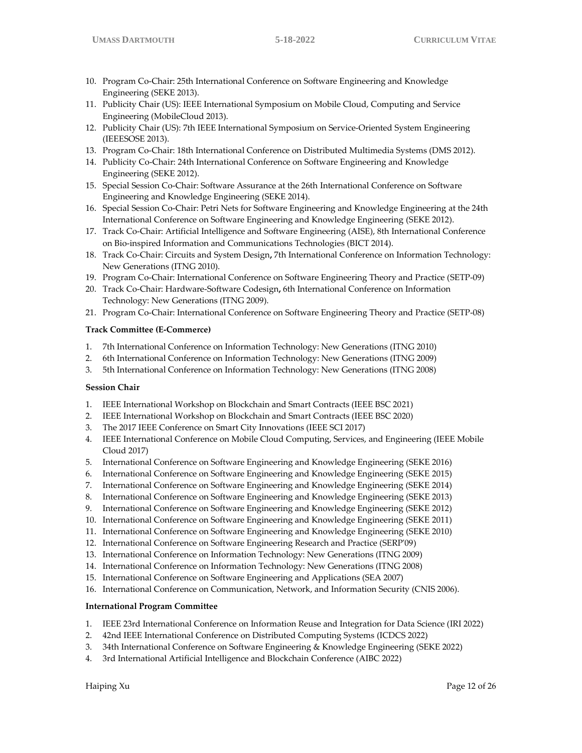- 10. Program Co-Chair: 25th International Conference on Software Engineering and Knowledge Engineering (SEKE 2013).
- 11. Publicity Chair (US): IEEE International Symposium on Mobile Cloud, Computing and Service Engineering (MobileCloud 2013).
- 12. Publicity Chair (US): 7th IEEE International Symposium on Service-Oriented System Engineering (IEEESOSE 2013).
- 13. Program Co-Chair: 18th International Conference on Distributed Multimedia Systems (DMS 2012).
- 14. Publicity Co-Chair: 24th International Conference on Software Engineering and Knowledge Engineering (SEKE 2012).
- 15. Special Session Co-Chair: Software Assurance at the 26th International Conference on Software Engineering and Knowledge Engineering (SEKE 2014).
- 16. Special Session Co-Chair: Petri Nets for Software Engineering and Knowledge Engineering at the 24th International Conference on Software Engineering and Knowledge Engineering (SEKE 2012).
- 17. Track Co-Chair: Artificial Intelligence and Software Engineering (AISE), 8th International Conference on Bio-inspired Information and Communications Technologies (BICT 2014).
- 18. Track Co-Chair: Circuits and System Design**,** 7th International Conference on Information Technology: New Generations (ITNG 2010).
- 19. Program Co-Chair: International Conference on Software Engineering Theory and Practice (SETP-09)
- 20. Track Co-Chair: Hardware-Software Codesign**,** 6th International Conference on Information Technology: New Generations (ITNG 2009).
- 21. Program Co-Chair: International Conference on Software Engineering Theory and Practice (SETP-08)

#### **Track Committee (E-Commerce)**

- 1. 7th International Conference on Information Technology: New Generations (ITNG 2010)
- 2. 6th International Conference on Information Technology: New Generations (ITNG 2009)
- 3. 5th International Conference on Information Technology: New Generations (ITNG 2008)

#### **Session Chair**

- 1. IEEE International Workshop on Blockchain and Smart Contracts (IEEE BSC 2021)
- 2. IEEE International Workshop on Blockchain and Smart Contracts (IEEE BSC 2020)
- 3. The 2017 IEEE Conference on Smart City Innovations (IEEE SCI 2017)
- 4. IEEE International Conference on Mobile Cloud Computing, Services, and Engineering (IEEE Mobile Cloud 2017)
- 5. International Conference on Software Engineering and Knowledge Engineering (SEKE 2016)
- 6. International Conference on Software Engineering and Knowledge Engineering (SEKE 2015)
- 7. International Conference on Software Engineering and Knowledge Engineering (SEKE 2014)
- 8. International Conference on Software Engineering and Knowledge Engineering (SEKE 2013)
- 9. International Conference on Software Engineering and Knowledge Engineering (SEKE 2012)
- 10. International Conference on Software Engineering and Knowledge Engineering (SEKE 2011)
- 11. International Conference on Software Engineering and Knowledge Engineering (SEKE 2010)
- 12. International Conference on Software Engineering Research and Practice (SERP'09)
- 13. International Conference on Information Technology: New Generations (ITNG 2009)
- 14. International Conference on Information Technology: New Generations (ITNG 2008)
- 15. International Conference on Software Engineering and Applications (SEA 2007)
- 16. International Conference on Communication, Network, and Information Security (CNIS 2006).

#### **International Program Committee**

- 1. IEEE 23rd International Conference on Information Reuse and Integration for Data Science (IRI 2022)
- 2. 42nd IEEE International Conference on Distributed Computing Systems (ICDCS 2022)
- 3. 34th International Conference on Software Engineering & Knowledge Engineering (SEKE 2022)
- 4. 3rd International Artificial Intelligence and Blockchain Conference (AIBC 2022)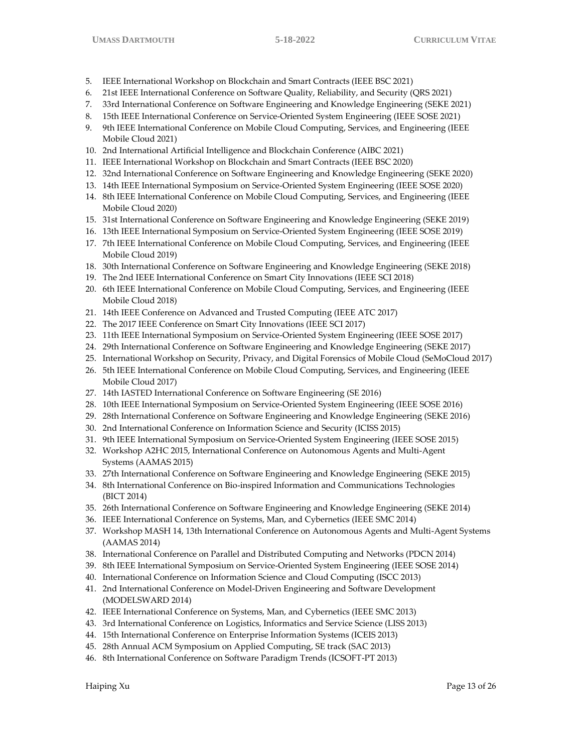- 5. IEEE International Workshop on Blockchain and Smart Contracts (IEEE BSC 2021)
- 6. 21st IEEE International Conference on Software Quality, Reliability, and Security (QRS 2021)
- 7. 33rd International Conference on Software Engineering and Knowledge Engineering (SEKE 2021)
- 8. 15th IEEE International Conference on Service-Oriented System Engineering (IEEE SOSE 2021)
- 9. 9th IEEE International Conference on Mobile Cloud Computing, Services, and Engineering (IEEE Mobile Cloud 2021)
- 10. 2nd International Artificial Intelligence and Blockchain Conference (AIBC 2021)
- 11. IEEE International Workshop on Blockchain and Smart Contracts (IEEE BSC 2020)
- 12. 32nd International Conference on Software Engineering and Knowledge Engineering (SEKE 2020)
- 13. 14th IEEE International Symposium on Service-Oriented System Engineering (IEEE SOSE 2020)
- 14. 8th IEEE International Conference on Mobile Cloud Computing, Services, and Engineering (IEEE Mobile Cloud 2020)
- 15. 31st International Conference on Software Engineering and Knowledge Engineering (SEKE 2019)
- 16. 13th IEEE International Symposium on Service-Oriented System Engineering (IEEE SOSE 2019)
- 17. 7th IEEE International Conference on Mobile Cloud Computing, Services, and Engineering (IEEE Mobile Cloud 2019)
- 18. 30th International Conference on Software Engineering and Knowledge Engineering (SEKE 2018)
- 19. The 2nd IEEE International Conference on Smart City Innovations (IEEE SCI 2018)
- 20. 6th IEEE International Conference on Mobile Cloud Computing, Services, and Engineering (IEEE Mobile Cloud 2018)
- 21. 14th IEEE Conference on Advanced and Trusted Computing (IEEE ATC 2017)
- 22. The 2017 IEEE Conference on Smart City Innovations (IEEE SCI 2017)
- 23. 11th IEEE International Symposium on Service-Oriented System Engineering (IEEE SOSE 2017)
- 24. 29th International Conference on Software Engineering and Knowledge Engineering (SEKE 2017)
- 25. International Workshop on Security, Privacy, and Digital Forensics of Mobile Cloud (SeMoCloud 2017)
- 26. 5th IEEE International Conference on Mobile Cloud Computing, Services, and Engineering (IEEE Mobile Cloud 2017)
- 27. 14th IASTED International Conference on Software Engineering (SE 2016)
- 28. 10th IEEE International Symposium on Service-Oriented System Engineering (IEEE SOSE 2016)
- 29. 28th International Conference on Software Engineering and Knowledge Engineering (SEKE 2016)
- 30. 2nd International Conference on Information Science and Security (ICISS 2015)
- 31. 9th IEEE International Symposium on Service-Oriented System Engineering (IEEE SOSE 2015)
- 32. Workshop A2HC 2015, International Conference on Autonomous Agents and Multi-Agent Systems (AAMAS 2015)
- 33. 27th International Conference on Software Engineering and Knowledge Engineering (SEKE 2015)
- 34. 8th International Conference on Bio-inspired Information and Communications Technologies (BICT 2014)
- 35. 26th International Conference on Software Engineering and Knowledge Engineering (SEKE 2014)
- 36. IEEE International Conference on Systems, Man, and Cybernetics (IEEE SMC 2014)
- 37. Workshop MASH 14, 13th International Conference on Autonomous Agents and Multi-Agent Systems (AAMAS 2014)
- 38. International Conference on Parallel and Distributed Computing and Networks (PDCN 2014)
- 39. 8th IEEE International Symposium on Service-Oriented System Engineering (IEEE SOSE 2014)
- 40. International Conference on Information Science and Cloud Computing (ISCC 2013)
- 41. 2nd International Conference on Model-Driven Engineering and Software Development (MODELSWARD 2014)
- 42. IEEE International Conference on Systems, Man, and Cybernetics (IEEE SMC 2013)
- 43. 3rd International Conference on Logistics, Informatics and Service Science (LISS 2013)
- 44. 15th International Conference on Enterprise Information Systems (ICEIS 2013)
- 45. 28th Annual ACM Symposium on Applied Computing, SE track (SAC 2013)
- 46. 8th International Conference on Software Paradigm Trends (ICSOFT-PT 2013)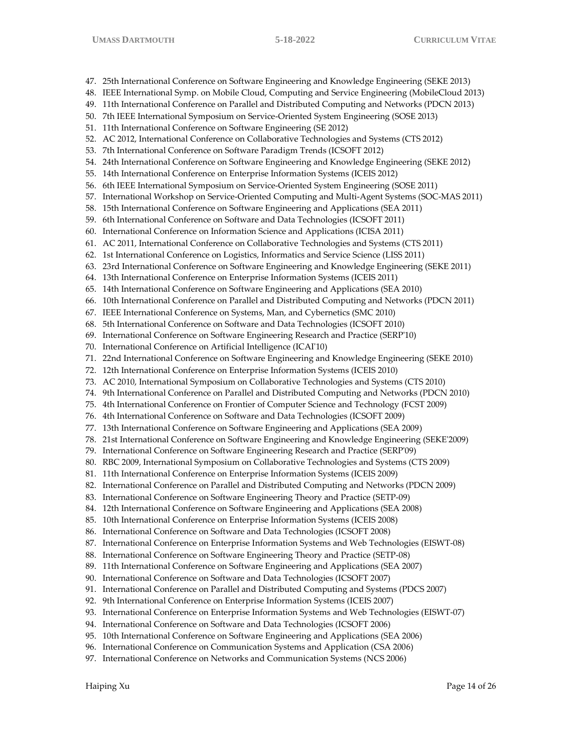47. 25th International Conference on Software Engineering and Knowledge Engineering (SEKE 2013)

- 48. IEEE International Symp. on Mobile Cloud, Computing and Service Engineering (MobileCloud 2013)
- 49. 11th International Conference on Parallel and Distributed Computing and Networks (PDCN 2013)
- 50. 7th IEEE International Symposium on Service-Oriented System Engineering (SOSE 2013)
- 51. 11th International Conference on Software Engineering (SE 2012)
- 52. AC 2012, International Conference on Collaborative Technologies and Systems (CTS 2012)
- 53. 7th International Conference on Software Paradigm Trends (ICSOFT 2012)
- 54. 24th International Conference on Software Engineering and Knowledge Engineering (SEKE 2012)
- 55. 14th International Conference on Enterprise Information Systems (ICEIS 2012)
- 56. 6th IEEE International Symposium on Service-Oriented System Engineering (SOSE 2011)
- 57. International Workshop on Service-Oriented Computing and Multi-Agent Systems (SOC-MAS 2011)
- 58. 15th International Conference on Software Engineering and Applications (SEA 2011)
- 59. 6th International Conference on Software and Data Technologies (ICSOFT 2011)
- 60. International Conference on Information Science and Applications (ICISA 2011)
- 61. AC 2011, International Conference on Collaborative Technologies and Systems (CTS 2011)
- 62. 1st International Conference on Logistics, Informatics and Service Science (LISS 2011)
- 63. 23rd International Conference on Software Engineering and Knowledge Engineering (SEKE 2011)
- 64. 13th International Conference on Enterprise Information Systems (ICEIS 2011)
- 65. 14th International Conference on Software Engineering and Applications (SEA 2010)
- 66. 10th International Conference on Parallel and Distributed Computing and Networks (PDCN 2011)
- 67. IEEE International Conference on Systems, Man, and Cybernetics (SMC 2010)
- 68. 5th International Conference on Software and Data Technologies (ICSOFT 2010)
- 69. International Conference on Software Engineering Research and Practice (SERP'10)
- 70. International Conference on Artificial Intelligence (ICAI'10)
- 71. 22nd International Conference on Software Engineering and Knowledge Engineering (SEKE 2010)
- 72. 12th International Conference on Enterprise Information Systems (ICEIS 2010)
- 73. AC 2010, International Symposium on Collaborative Technologies and Systems (CTS 2010)
- 74. 9th International Conference on Parallel and Distributed Computing and Networks (PDCN 2010)
- 75. 4th International Conference on Frontier of Computer Science and Technology (FCST 2009)
- 76. 4th International Conference on Software and Data Technologies (ICSOFT 2009)
- 77. 13th International Conference on Software Engineering and Applications (SEA 2009)
- 78. 21st International Conference on Software Engineering and Knowledge Engineering (SEKE'2009)
- 79. International Conference on Software Engineering Research and Practice (SERP'09)
- 80. RBC 2009, International Symposium on Collaborative Technologies and Systems (CTS 2009)
- 81. 11th International Conference on Enterprise Information Systems (ICEIS 2009)
- 82. International Conference on Parallel and Distributed Computing and Networks (PDCN 2009)
- 83. International Conference on Software Engineering Theory and Practice (SETP-09)
- 84. 12th International Conference on Software Engineering and Applications (SEA 2008)
- 85. 10th International Conference on Enterprise Information Systems (ICEIS 2008)
- 86. International Conference on Software and Data Technologies (ICSOFT 2008)
- 87. International Conference on Enterprise Information Systems and Web Technologies (EISWT-08)
- 88. International Conference on Software Engineering Theory and Practice (SETP-08)
- 89. 11th International Conference on Software Engineering and Applications (SEA 2007)
- 90. International Conference on Software and Data Technologies (ICSOFT 2007)
- 91. International Conference on Parallel and Distributed Computing and Systems (PDCS 2007)
- 92. 9th International Conference on Enterprise Information Systems (ICEIS 2007)
- 93. International Conference on Enterprise Information Systems and Web Technologies (EISWT-07)
- 94. International Conference on Software and Data Technologies (ICSOFT 2006)
- 95. 10th International Conference on Software Engineering and Applications (SEA 2006)
- 96. International Conference on Communication Systems and Application (CSA 2006)
- 97. International Conference on Networks and Communication Systems (NCS 2006)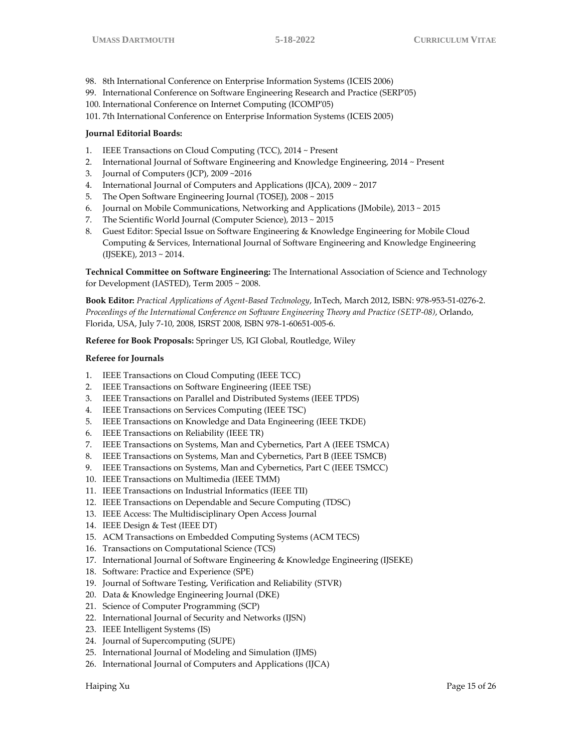- 98. 8th International Conference on Enterprise Information Systems (ICEIS 2006)
- 99. International Conference on Software Engineering Research and Practice (SERP'05)
- 100. International Conference on Internet Computing (ICOMP'05)
- 101. 7th International Conference on Enterprise Information Systems (ICEIS 2005)

# **Journal Editorial Boards:**

- 1. IEEE Transactions on Cloud Computing (TCC), 2014 ~ Present
- 2. International Journal of Software Engineering and Knowledge Engineering, 2014 ~ Present
- 3. Journal of Computers (JCP), 2009 ~2016
- 4. International Journal of Computers and Applications (IJCA), 2009 ~ 2017
- 5. The Open Software Engineering Journal (TOSEJ), 2008 ~ 2015
- 6. Journal on Mobile Communications, Networking and Applications (JMobile), 2013 ~ 2015
- 7. The Scientific World Journal (Computer Science), 2013 ~ 2015
- 8. Guest Editor: Special Issue on Software Engineering & Knowledge Engineering for Mobile Cloud Computing & Services, International Journal of Software Engineering and Knowledge Engineering (IJSEKE), 2013 ~ 2014.

**Technical Committee on Software Engineering:** The International Association of Science and Technology for Development (IASTED), Term 2005 ~ 2008.

**Book Editor:** *Practical Applications of Agent-Based Technology*, InTech, March 2012, ISBN: 978-953-51-0276-2. *Proceedings of the International Conference on Software Engineering Theory and Practice (SETP-08)*, Orlando, Florida, USA, July 7-10, 2008, ISRST 2008, ISBN 978-1-60651-005-6.

**Referee for Book Proposals:** Springer US, IGI Global, Routledge, Wiley

#### **Referee for Journals**

- 1. IEEE Transactions on Cloud Computing (IEEE TCC)
- 2. IEEE Transactions on Software Engineering (IEEE TSE)
- 3. IEEE Transactions on Parallel and Distributed Systems (IEEE TPDS)
- 4. IEEE Transactions on Services Computing (IEEE TSC)
- 5. IEEE Transactions on Knowledge and Data Engineering (IEEE TKDE)
- 6. IEEE Transactions on Reliability (IEEE TR)
- 7. IEEE Transactions on Systems, Man and Cybernetics, Part A (IEEE TSMCA)
- 8. IEEE Transactions on Systems, Man and Cybernetics, Part B (IEEE TSMCB)
- 9. IEEE Transactions on Systems, Man and Cybernetics, Part C (IEEE TSMCC)
- 10. IEEE Transactions on Multimedia (IEEE TMM)
- 11. IEEE Transactions on Industrial Informatics (IEEE TII)
- 12. IEEE Transactions on Dependable and Secure Computing (TDSC)
- 13. IEEE Access: The Multidisciplinary Open Access Journal
- 14. IEEE Design & Test (IEEE DT)
- 15. ACM Transactions on Embedded Computing Systems (ACM TECS)
- 16. Transactions on Computational Science (TCS)
- 17. International Journal of Software Engineering & Knowledge Engineering (IJSEKE)
- 18. Software: Practice and Experience (SPE)
- 19. Journal of Software Testing, Verification and Reliability (STVR)
- 20. Data & Knowledge Engineering Journal (DKE)
- 21. Science of Computer Programming (SCP)
- 22. International Journal of Security and Networks (IJSN)
- 23. IEEE Intelligent Systems (IS)
- 24. Journal of Supercomputing (SUPE)
- 25. International Journal of Modeling and Simulation (IJMS)
- 26. International Journal of Computers and Applications (IJCA)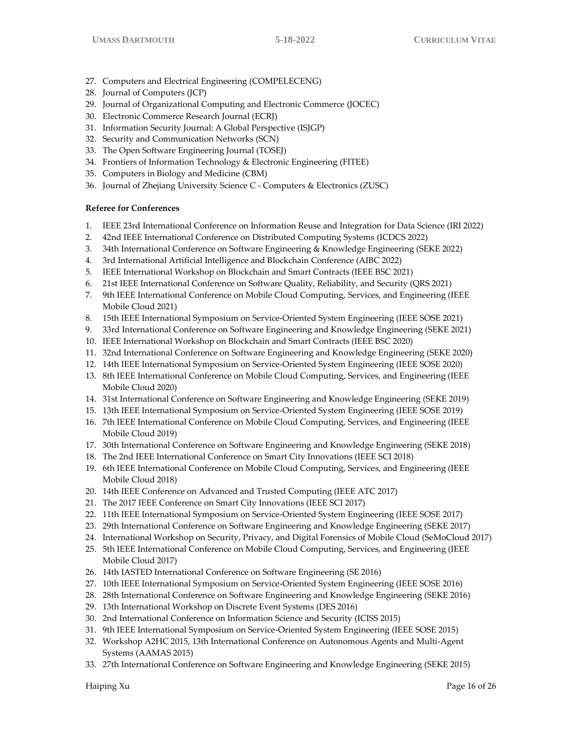- 27. Computers and Electrical Engineering (COMPELECENG)
- 28. Journal of Computers (JCP)
- 29. Journal of Organizational Computing and Electronic Commerce (JOCEC)
- 30. Electronic Commerce Research Journal (ECRJ)
- 31. Information Security Journal: A Global Perspective (ISJGP)
- 32. Security and Communication Networks (SCN)
- 33. The Open Software Engineering Journal (TOSEJ)
- 34. Frontiers of Information Technology & Electronic Engineering (FITEE)
- 35. Computers in Biology and Medicine (CBM)
- 36. Journal of Zhejiang University Science C Computers & Electronics (ZUSC)

#### **Referee for Conferences**

- 1. IEEE 23rd International Conference on Information Reuse and Integration for Data Science (IRI 2022)
- 2. 42nd IEEE International Conference on Distributed Computing Systems (ICDCS 2022)
- 3. 34th International Conference on Software Engineering & Knowledge Engineering (SEKE 2022)
- 4. 3rd International Artificial Intelligence and Blockchain Conference (AIBC 2022)
- 5. IEEE International Workshop on Blockchain and Smart Contracts (IEEE BSC 2021)
- 6. 21st IEEE International Conference on Software Quality, Reliability, and Security (QRS 2021)
- 7. 9th IEEE International Conference on Mobile Cloud Computing, Services, and Engineering (IEEE Mobile Cloud 2021)
- 8. 15th IEEE International Symposium on Service-Oriented System Engineering (IEEE SOSE 2021)
- 9. 33rd International Conference on Software Engineering and Knowledge Engineering (SEKE 2021)
- 10. IEEE International Workshop on Blockchain and Smart Contracts (IEEE BSC 2020)
- 11. 32nd International Conference on Software Engineering and Knowledge Engineering (SEKE 2020)
- 12. 14th IEEE International Symposium on Service-Oriented System Engineering (IEEE SOSE 2020)
- 13. 8th IEEE International Conference on Mobile Cloud Computing, Services, and Engineering (IEEE Mobile Cloud 2020)
- 14. 31st International Conference on Software Engineering and Knowledge Engineering (SEKE 2019)
- 15. 13th IEEE International Symposium on Service-Oriented System Engineering (IEEE SOSE 2019)
- 16. 7th IEEE International Conference on Mobile Cloud Computing, Services, and Engineering (IEEE Mobile Cloud 2019)
- 17. 30th International Conference on Software Engineering and Knowledge Engineering (SEKE 2018)
- 18. The 2nd IEEE International Conference on Smart City Innovations (IEEE SCI 2018)
- 19. 6th IEEE International Conference on Mobile Cloud Computing, Services, and Engineering (IEEE Mobile Cloud 2018)
- 20. 14th IEEE Conference on Advanced and Trusted Computing (IEEE ATC 2017)
- 21. The 2017 IEEE Conference on Smart City Innovations (IEEE SCI 2017)
- 22. 11th IEEE International Symposium on Service-Oriented System Engineering (IEEE SOSE 2017)
- 23. 29th International Conference on Software Engineering and Knowledge Engineering (SEKE 2017)
- 24. International Workshop on Security, Privacy, and Digital Forensics of Mobile Cloud (SeMoCloud 2017)
- 25. 5th IEEE International Conference on Mobile Cloud Computing, Services, and Engineering (IEEE Mobile Cloud 2017)
- 26. 14th IASTED International Conference on Software Engineering (SE 2016)
- 27. 10th IEEE International Symposium on Service-Oriented System Engineering (IEEE SOSE 2016)
- 28. 28th International Conference on Software Engineering and Knowledge Engineering (SEKE 2016)
- 29. 13th International Workshop on Discrete Event Systems (DES 2016)
- 30. 2nd International Conference on Information Science and Security (ICISS 2015)
- 31. 9th IEEE International Symposium on Service-Oriented System Engineering (IEEE SOSE 2015)
- 32. Workshop A2HC 2015, 13th International Conference on Autonomous Agents and Multi-Agent Systems (AAMAS 2015)
- 33. 27th International Conference on Software Engineering and Knowledge Engineering (SEKE 2015)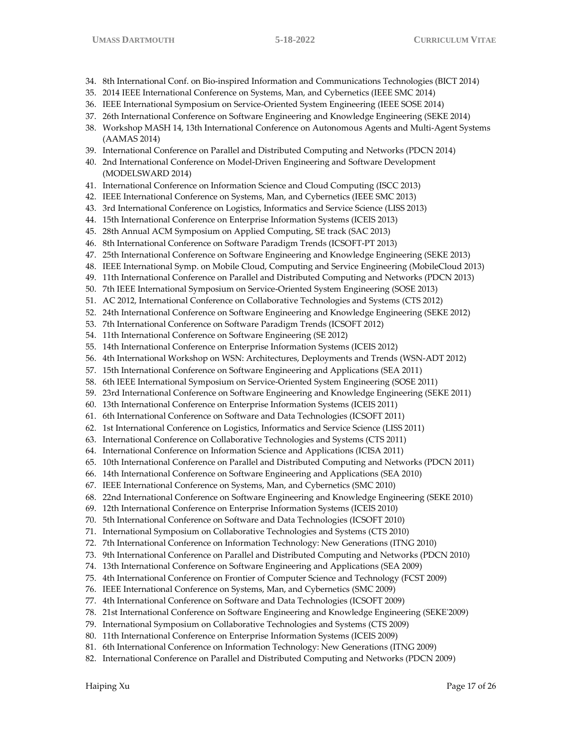- 34. 8th International Conf. on Bio-inspired Information and Communications Technologies (BICT 2014)
- 35. 2014 IEEE International Conference on Systems, Man, and Cybernetics (IEEE SMC 2014)
- 36. IEEE International Symposium on Service-Oriented System Engineering (IEEE SOSE 2014)
- 37. 26th International Conference on Software Engineering and Knowledge Engineering (SEKE 2014)
- 38. Workshop MASH 14, 13th International Conference on Autonomous Agents and Multi-Agent Systems (AAMAS 2014)
- 39. International Conference on Parallel and Distributed Computing and Networks (PDCN 2014)
- 40. 2nd International Conference on Model-Driven Engineering and Software Development (MODELSWARD 2014)
- 41. International Conference on Information Science and Cloud Computing (ISCC 2013)
- 42. IEEE International Conference on Systems, Man, and Cybernetics (IEEE SMC 2013)
- 43. 3rd International Conference on Logistics, Informatics and Service Science (LISS 2013)
- 44. 15th International Conference on Enterprise Information Systems (ICEIS 2013)
- 45. 28th Annual ACM Symposium on Applied Computing, SE track (SAC 2013)
- 46. 8th International Conference on Software Paradigm Trends (ICSOFT-PT 2013)
- 47. 25th International Conference on Software Engineering and Knowledge Engineering (SEKE 2013)
- 48. IEEE International Symp. on Mobile Cloud, Computing and Service Engineering (MobileCloud 2013)
- 49. 11th International Conference on Parallel and Distributed Computing and Networks (PDCN 2013)
- 50. 7th IEEE International Symposium on Service-Oriented System Engineering (SOSE 2013)
- 51. AC 2012, International Conference on Collaborative Technologies and Systems (CTS 2012)
- 52. 24th International Conference on Software Engineering and Knowledge Engineering (SEKE 2012)
- 53. 7th International Conference on Software Paradigm Trends (ICSOFT 2012)
- 54. 11th International Conference on Software Engineering (SE 2012)
- 55. 14th International Conference on Enterprise Information Systems (ICEIS 2012)
- 56. 4th International Workshop on WSN: Architectures, Deployments and Trends (WSN-ADT 2012)
- 57. 15th International Conference on Software Engineering and Applications (SEA 2011)
- 58. 6th IEEE International Symposium on Service-Oriented System Engineering (SOSE 2011)
- 59. 23rd International Conference on Software Engineering and Knowledge Engineering (SEKE 2011)
- 60. 13th International Conference on Enterprise Information Systems (ICEIS 2011)
- 61. 6th International Conference on Software and Data Technologies (ICSOFT 2011)
- 62. 1st International Conference on Logistics, Informatics and Service Science (LISS 2011)
- 63. International Conference on Collaborative Technologies and Systems (CTS 2011)
- 64. International Conference on Information Science and Applications (ICISA 2011)
- 65. 10th International Conference on Parallel and Distributed Computing and Networks (PDCN 2011)
- 66. 14th International Conference on Software Engineering and Applications (SEA 2010)
- 67. IEEE International Conference on Systems, Man, and Cybernetics (SMC 2010)
- 68. 22nd International Conference on Software Engineering and Knowledge Engineering (SEKE 2010)
- 69. 12th International Conference on Enterprise Information Systems (ICEIS 2010)
- 70. 5th International Conference on Software and Data Technologies (ICSOFT 2010)
- 71. International Symposium on Collaborative Technologies and Systems (CTS 2010)
- 72. 7th International Conference on Information Technology: New Generations (ITNG 2010)
- 73. 9th International Conference on Parallel and Distributed Computing and Networks (PDCN 2010)
- 74. 13th International Conference on Software Engineering and Applications (SEA 2009)
- 75. 4th International Conference on Frontier of Computer Science and Technology (FCST 2009)
- 76. IEEE International Conference on Systems, Man, and Cybernetics (SMC 2009)
- 77. 4th International Conference on Software and Data Technologies (ICSOFT 2009)
- 78. 21st International Conference on Software Engineering and Knowledge Engineering (SEKE'2009)
- 79. International Symposium on Collaborative Technologies and Systems (CTS 2009)
- 80. 11th International Conference on Enterprise Information Systems (ICEIS 2009)
- 81. 6th International Conference on Information Technology: New Generations (ITNG 2009)
- 82. International Conference on Parallel and Distributed Computing and Networks (PDCN 2009)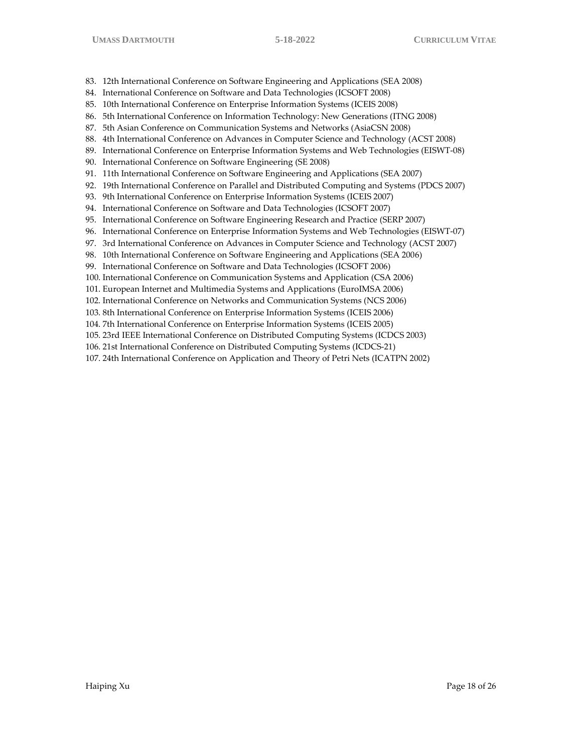83. 12th International Conference on Software Engineering and Applications (SEA 2008)

84. International Conference on Software and Data Technologies (ICSOFT 2008)

85. 10th International Conference on Enterprise Information Systems (ICEIS 2008)

86. 5th International Conference on Information Technology: New Generations (ITNG 2008)

87. 5th Asian Conference on Communication Systems and Networks (AsiaCSN 2008)

88. 4th International Conference on Advances in Computer Science and Technology (ACST 2008)

89. International Conference on Enterprise Information Systems and Web Technologies (EISWT-08)

90. International Conference on Software Engineering (SE 2008)

91. 11th International Conference on Software Engineering and Applications (SEA 2007)

92. 19th International Conference on Parallel and Distributed Computing and Systems (PDCS 2007)

93. 9th International Conference on Enterprise Information Systems (ICEIS 2007)

94. International Conference on Software and Data Technologies (ICSOFT 2007)

95. International Conference on Software Engineering Research and Practice (SERP 2007)

96. International Conference on Enterprise Information Systems and Web Technologies (EISWT-07)

97. 3rd International Conference on Advances in Computer Science and Technology (ACST 2007)

98. 10th International Conference on Software Engineering and Applications (SEA 2006)

99. International Conference on Software and Data Technologies (ICSOFT 2006)

100. International Conference on Communication Systems and Application (CSA 2006)

101. European Internet and Multimedia Systems and Applications (EuroIMSA 2006)

102. International Conference on Networks and Communication Systems (NCS 2006)

103. 8th International Conference on Enterprise Information Systems (ICEIS 2006)

104. 7th International Conference on Enterprise Information Systems (ICEIS 2005)

105. 23rd IEEE International Conference on Distributed Computing Systems (ICDCS 2003)

106. 21st International Conference on Distributed Computing Systems (ICDCS-21)

107. 24th International Conference on Application and Theory of Petri Nets (ICATPN 2002)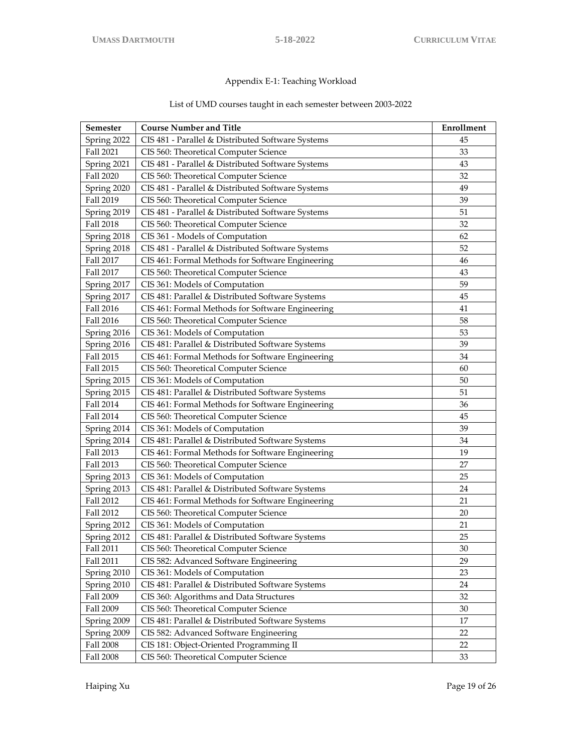# Appendix E-1: Teaching Workload

# List of UMD courses taught in each semester between 2003-2022

| Semester         | <b>Course Number and Title</b>                    | Enrollment |
|------------------|---------------------------------------------------|------------|
| Spring 2022      | CIS 481 - Parallel & Distributed Software Systems | 45         |
| Fall 2021        | CIS 560: Theoretical Computer Science             | 33         |
| Spring 2021      | CIS 481 - Parallel & Distributed Software Systems | 43         |
| Fall 2020        | CIS 560: Theoretical Computer Science             | 32         |
| Spring 2020      | CIS 481 - Parallel & Distributed Software Systems | 49         |
| Fall 2019        | CIS 560: Theoretical Computer Science             | 39         |
| Spring 2019      | CIS 481 - Parallel & Distributed Software Systems | 51         |
| <b>Fall 2018</b> | CIS 560: Theoretical Computer Science             | 32         |
| Spring 2018      | CIS 361 - Models of Computation                   | 62         |
| Spring 2018      | CIS 481 - Parallel & Distributed Software Systems | 52         |
| Fall 2017        | CIS 461: Formal Methods for Software Engineering  | 46         |
| Fall 2017        | CIS 560: Theoretical Computer Science             | 43         |
| Spring 2017      | CIS 361: Models of Computation                    | 59         |
| Spring 2017      | CIS 481: Parallel & Distributed Software Systems  | 45         |
| Fall 2016        | CIS 461: Formal Methods for Software Engineering  | 41         |
| Fall 2016        | CIS 560: Theoretical Computer Science             | 58         |
| Spring 2016      | CIS 361: Models of Computation                    | 53         |
| Spring 2016      | CIS 481: Parallel & Distributed Software Systems  | 39         |
| Fall 2015        | CIS 461: Formal Methods for Software Engineering  | 34         |
| Fall 2015        | CIS 560: Theoretical Computer Science             | 60         |
| Spring 2015      | CIS 361: Models of Computation                    | 50         |
| Spring 2015      | CIS 481: Parallel & Distributed Software Systems  | 51         |
| Fall 2014        | CIS 461: Formal Methods for Software Engineering  | 36         |
| Fall 2014        | CIS 560: Theoretical Computer Science             | 45         |
| Spring 2014      | CIS 361: Models of Computation                    | 39         |
| Spring 2014      | CIS 481: Parallel & Distributed Software Systems  | 34         |
| Fall 2013        | CIS 461: Formal Methods for Software Engineering  | 19         |
| Fall 2013        | CIS 560: Theoretical Computer Science             | 27         |
| Spring 2013      | CIS 361: Models of Computation                    | 25         |
| Spring 2013      | CIS 481: Parallel & Distributed Software Systems  | 24         |
| Fall 2012        | CIS 461: Formal Methods for Software Engineering  | 21         |
| Fall 2012        | CIS 560: Theoretical Computer Science             | 20         |
| Spring 2012      | CIS 361: Models of Computation                    | 21         |
| Spring 2012      | CIS 481: Parallel & Distributed Software Systems  | 25         |
| <b>Fall 2011</b> | CIS 560: Theoretical Computer Science             | $30\,$     |
| <b>Fall 2011</b> | CIS 582: Advanced Software Engineering            | 29         |
| Spring 2010      | CIS 361: Models of Computation                    | 23         |
| Spring 2010      | CIS 481: Parallel & Distributed Software Systems  | 24         |
| Fall 2009        | CIS 360: Algorithms and Data Structures           | 32         |
| Fall 2009        | CIS 560: Theoretical Computer Science             | 30         |
| Spring 2009      | CIS 481: Parallel & Distributed Software Systems  | 17         |
| Spring 2009      | CIS 582: Advanced Software Engineering            | 22         |
| Fall 2008        | CIS 181: Object-Oriented Programming II           | 22         |
| <b>Fall 2008</b> | CIS 560: Theoretical Computer Science             | 33         |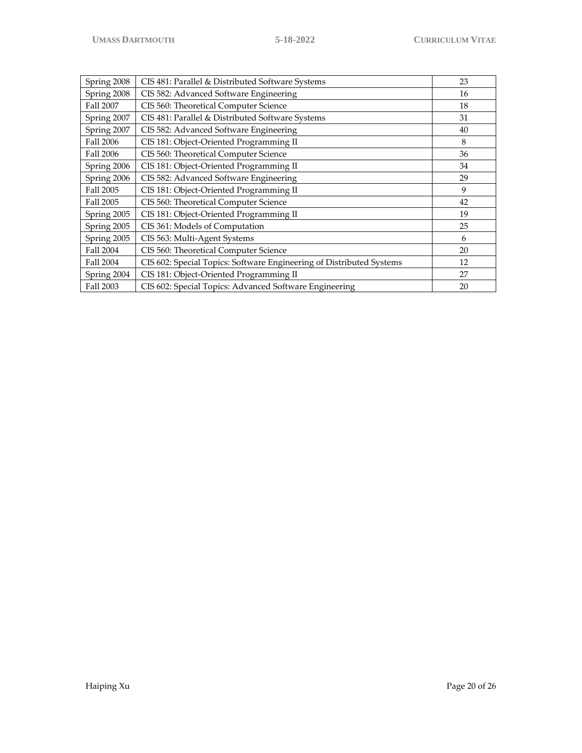| Spring 2008      |                                                                      | 23 |
|------------------|----------------------------------------------------------------------|----|
|                  | CIS 481: Parallel & Distributed Software Systems                     |    |
| Spring 2008      | CIS 582: Advanced Software Engineering                               | 16 |
| Fall 2007        | CIS 560: Theoretical Computer Science                                | 18 |
| Spring 2007      | CIS 481: Parallel & Distributed Software Systems                     | 31 |
| Spring 2007      | CIS 582: Advanced Software Engineering                               | 40 |
| <b>Fall 2006</b> | CIS 181: Object-Oriented Programming II                              | 8  |
| <b>Fall 2006</b> | CIS 560: Theoretical Computer Science                                | 36 |
| Spring 2006      | CIS 181: Object-Oriented Programming II                              | 34 |
| Spring 2006      | CIS 582: Advanced Software Engineering                               | 29 |
| Fall 2005        | CIS 181: Object-Oriented Programming II                              | 9  |
| Fall 2005        | CIS 560: Theoretical Computer Science                                | 42 |
| Spring 2005      | CIS 181: Object-Oriented Programming II                              | 19 |
| Spring 2005      | CIS 361: Models of Computation                                       | 25 |
| Spring 2005      | CIS 563: Multi-Agent Systems                                         | 6  |
| Fall 2004        | CIS 560: Theoretical Computer Science                                | 20 |
| Fall 2004        | CIS 602: Special Topics: Software Engineering of Distributed Systems | 12 |
| Spring 2004      | CIS 181: Object-Oriented Programming II                              | 27 |
| Fall 2003        | CIS 602: Special Topics: Advanced Software Engineering               | 20 |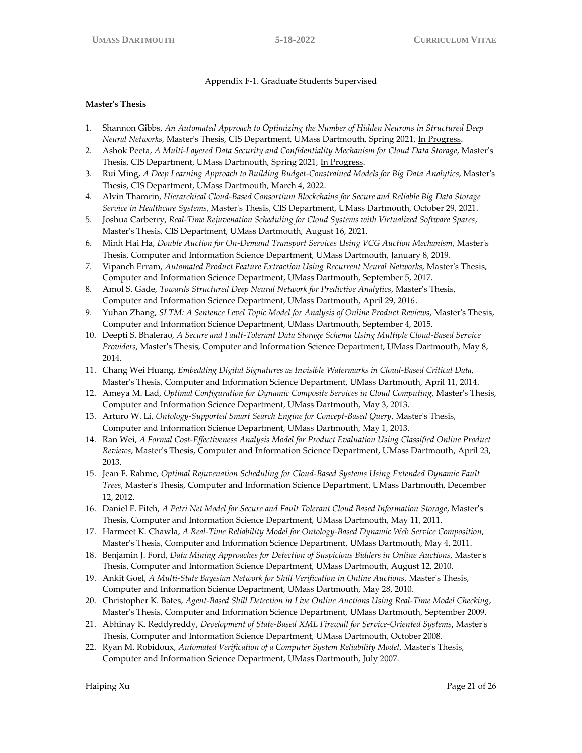## Appendix F-1. Graduate Students Supervised

#### **Master's Thesis**

- 1. Shannon Gibbs, *An Automated Approach to Optimizing the Number of Hidden Neurons in Structured Deep Neural Networks*, Master's Thesis, CIS Department, UMass Dartmouth, Spring 2021, In Progress.
- 2. Ashok Peeta, *A Multi-Layered Data Security and Confidentiality Mechanism for Cloud Data Storage*, Master's Thesis, CIS Department, UMass Dartmouth, Spring 2021, In Progress.
- 3. Rui Ming, *A Deep Learning Approach to Building Budget-Constrained Models for Big Data Analytics*, Master's Thesis, CIS Department, UMass Dartmouth, March 4, 2022.
- 4. Alvin Thamrin, *Hierarchical Cloud-Based Consortium Blockchains for Secure and Reliable Big Data Storage Service in Healthcare Systems*, Master's Thesis, CIS Department, UMass Dartmouth, October 29, 2021.
- 5. Joshua Carberry, *Real-Time Rejuvenation Scheduling for Cloud Systems with Virtualized Software Spares*, Master's Thesis, CIS Department, UMass Dartmouth, August 16, 2021.
- 6. Minh Hai Ha, *Double Auction for On-Demand Transport Services Using VCG Auction Mechanism*, Master's Thesis, Computer and Information Science Department, UMass Dartmouth, January 8, 2019.
- 7. Vipanch Erram, *Automated Product Feature Extraction Using Recurrent Neural Networks*, Master's Thesis, Computer and Information Science Department, UMass Dartmouth, September 5, 2017.
- 8. Amol S. Gade, *Towards Structured Deep Neural Network for Predictive Analytics*, Master's Thesis, Computer and Information Science Department, UMass Dartmouth, April 29, 2016.
- 9. Yuhan Zhang, *SLTM: A Sentence Level Topic Model for Analysis of Online Product Reviews*, Master's Thesis, Computer and Information Science Department, UMass Dartmouth, September 4, 2015.
- 10. Deepti S. Bhalerao, *A Secure and Fault-Tolerant Data Storage Schema Using Multiple Cloud-Based Service Providers*, Master's Thesis, Computer and Information Science Department, UMass Dartmouth, May 8, 2014.
- 11. Chang Wei Huang, *Embedding Digital Signatures as Invisible Watermarks in Cloud-Based Critical Data*, Master's Thesis, Computer and Information Science Department, UMass Dartmouth, April 11, 2014.
- 12. Ameya M. Lad, *Optimal Configuration for Dynamic Composite Services in Cloud Computing*, Master's Thesis, Computer and Information Science Department, UMass Dartmouth, May 3, 2013.
- 13. Arturo W. Li, *Ontology-Supported Smart Search Engine for Concept-Based Query*, Master's Thesis, Computer and Information Science Department, UMass Dartmouth, May 1, 2013.
- 14. Ran Wei, *A Formal Cost-Effectiveness Analysis Model for Product Evaluation Using Classified Online Product Reviews*, Master's Thesis, Computer and Information Science Department, UMass Dartmouth, April 23, 2013.
- 15. Jean F. Rahme, *Optimal Rejuvenation Scheduling for Cloud-Based Systems Using Extended Dynamic Fault Trees*, Master's Thesis, Computer and Information Science Department, UMass Dartmouth, December 12, 2012.
- 16. Daniel F. Fitch, *A Petri Net Model for Secure and Fault Tolerant Cloud Based Information Storage*, Master's Thesis, Computer and Information Science Department, UMass Dartmouth, May 11, 2011.
- 17. Harmeet K. Chawla, *A Real-Time Reliability Model for Ontology-Based Dynamic Web Service Composition*, Master's Thesis, Computer and Information Science Department, UMass Dartmouth, May 4, 2011.
- 18. Benjamin J. Ford, *Data Mining Approaches for Detection of Suspicious Bidders in Online Auctions*, Master's Thesis, Computer and Information Science Department, UMass Dartmouth, August 12, 2010.
- 19. Ankit Goel, *A Multi-State Bayesian Network for Shill Verification in Online Auctions*, Master's Thesis, Computer and Information Science Department, UMass Dartmouth, May 28, 2010.
- 20. Christopher K. Bates, *Agent-Based Shill Detection in Live Online Auctions Using Real-Time Model Checking*, Master's Thesis, Computer and Information Science Department, UMass Dartmouth, September 2009.
- 21. Abhinay K. Reddyreddy, *Development of State-Based XML Firewall for Service-Oriented Systems*, Master's Thesis, Computer and Information Science Department, UMass Dartmouth, October 2008.
- 22. Ryan M. Robidoux, *Automated Verification of a Computer System Reliability Model*, Master's Thesis, Computer and Information Science Department, UMass Dartmouth, July 2007.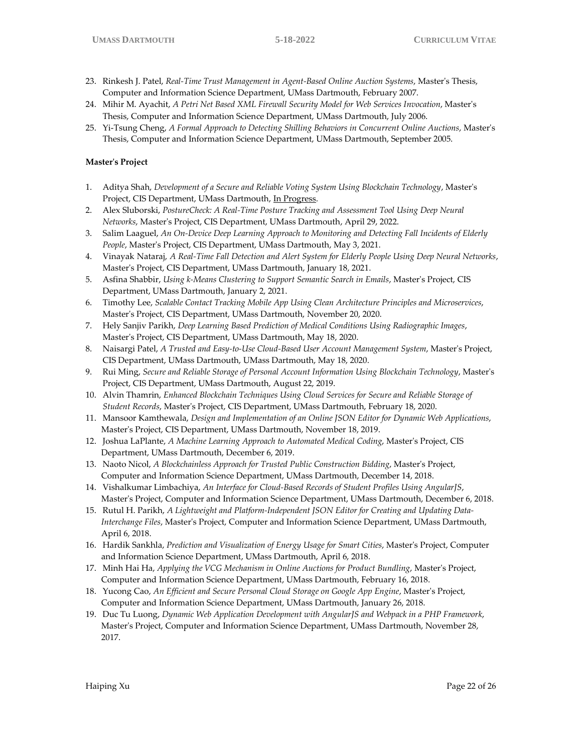- 23. Rinkesh J. Patel, *Real-Time Trust Management in Agent-Based Online Auction Systems*, Master's Thesis, Computer and Information Science Department, UMass Dartmouth, February 2007.
- 24. Mihir M. Ayachit, *A Petri Net Based XML Firewall Security Model for Web Services Invocation*, Master's Thesis, Computer and Information Science Department, UMass Dartmouth, July 2006.
- 25. Yi-Tsung Cheng, *A Formal Approach to Detecting Shilling Behaviors in Concurrent Online Auctions*, Master's Thesis, Computer and Information Science Department, UMass Dartmouth, September 2005.

# **Master's Project**

- 1. Aditya Shah, *Development of a Secure and Reliable Voting System Using Blockchain Technology*, Master's Project, CIS Department, UMass Dartmouth, In Progress.
- 2. Alex Sluborski, *PostureCheck: A Real-Time Posture Tracking and Assessment Tool Using Deep Neural Networks*, Master's Project, CIS Department, UMass Dartmouth, April 29, 2022.
- 3. Salim Laaguel, *An On-Device Deep Learning Approach to Monitoring and Detecting Fall Incidents of Elderly People*, Master's Project, CIS Department, UMass Dartmouth, May 3, 2021.
- 4. Vinayak Nataraj, *A Real-Time Fall Detection and Alert System for Elderly People Using Deep Neural Networks*, Master's Project, CIS Department, UMass Dartmouth, January 18, 2021.
- 5. Asfina Shabbir, *Using k-Means Clustering to Support Semantic Search in Emails*, Master's Project, CIS Department, UMass Dartmouth, January 2, 2021.
- 6. Timothy Lee, *Scalable Contact Tracking Mobile App Using Clean Architecture Principles and Microservices*, Master's Project, CIS Department, UMass Dartmouth, November 20, 2020.
- 7. Hely Sanjiv Parikh, *Deep Learning Based Prediction of Medical Conditions Using Radiographic Images*, Master's Project, CIS Department, UMass Dartmouth, May 18, 2020.
- 8. Naisargi Patel, *A Trusted and Easy-to-Use Cloud-Based User Account Management System*, Master's Project, CIS Department, UMass Dartmouth, UMass Dartmouth, May 18, 2020.
- 9. Rui Ming, *Secure and Reliable Storage of Personal Account Information Using Blockchain Technology*, Master's Project, CIS Department, UMass Dartmouth, August 22, 2019.
- 10. Alvin Thamrin, *Enhanced Blockchain Techniques Using Cloud Services for Secure and Reliable Storage of Student Records*, Master's Project, CIS Department, UMass Dartmouth, February 18, 2020.
- 11. Mansoor Kamthewala, *Design and Implementation of an Online JSON Editor for Dynamic Web Applications*, Master's Project, CIS Department, UMass Dartmouth, November 18, 2019.
- 12. Joshua LaPlante, *A Machine Learning Approach to Automated Medical Coding*, Master's Project, CIS Department, UMass Dartmouth, December 6, 2019.
- 13. Naoto Nicol, *A Blockchainless Approach for Trusted Public Construction Bidding*, Master's Project, Computer and Information Science Department, UMass Dartmouth, December 14, 2018.
- 14. Vishalkumar Limbachiya, *An Interface for Cloud-Based Records of Student Profiles Using AngularJS*, Master's Project, Computer and Information Science Department, UMass Dartmouth, December 6, 2018.
- 15. Rutul H. Parikh, *A Lightweight and Platform-Independent JSON Editor for Creating and Updating Data-Interchange Files*, Master's Project, Computer and Information Science Department, UMass Dartmouth, April 6, 2018.
- 16. Hardik Sankhla, *Prediction and Visualization of Energy Usage for Smart Cities*, Master's Project, Computer and Information Science Department, UMass Dartmouth, April 6, 2018.
- 17. Minh Hai Ha, *Applying the VCG Mechanism in Online Auctions for Product Bundling*, Master's Project, Computer and Information Science Department, UMass Dartmouth, February 16, 2018.
- 18. Yucong Cao, *An Efficient and Secure Personal Cloud Storage on Google App Engine*, Master's Project, Computer and Information Science Department, UMass Dartmouth, January 26, 2018.
- 19. Duc Tu Luong, *Dynamic Web Application Development with AngularJS and Webpack in a PHP Framework*, Master's Project, Computer and Information Science Department, UMass Dartmouth, November 28, 2017.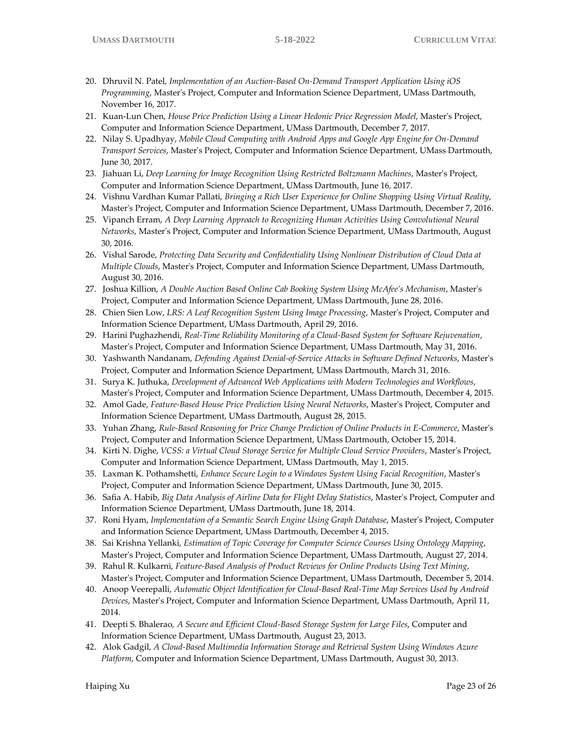- 20. Dhruvil N. Patel, *Implementation of an Auction-Based On-Demand Transport Application Using iOS Programming*, Master's Project, Computer and Information Science Department, UMass Dartmouth, November 16, 2017.
- 21. Kuan-Lun Chen, *House Price Prediction Using a Linear Hedonic Price Regression Model*, Master's Project, Computer and Information Science Department, UMass Dartmouth, December 7, 2017.
- 22. Nilay S. Upadhyay, *Mobile Cloud Computing with Android Apps and Google App Engine for On-Demand Transport Services*, Master's Project, Computer and Information Science Department, UMass Dartmouth, June 30, 2017.
- 23. Jiahuan Li, *Deep Learning for Image Recognition Using Restricted Boltzmann Machines*, Master's Project, Computer and Information Science Department, UMass Dartmouth, June 16, 2017.
- 24. Vishnu Vardhan Kumar Pallati, *Bringing a Rich User Experience for Online Shopping Using Virtual Reality*, Master's Project, Computer and Information Science Department, UMass Dartmouth, December 7, 2016.
- 25. Vipanch Erram, *A Deep Learning Approach to Recognizing Human Activities Using Convolutional Neural Networks*, Master's Project, Computer and Information Science Department, UMass Dartmouth, August 30, 2016.
- 26. Vishal Sarode, *Protecting Data Security and Confidentiality Using Nonlinear Distribution of Cloud Data at Multiple Clouds*, Master's Project, Computer and Information Science Department, UMass Dartmouth, August 30, 2016.
- 27. Joshua Killion, *A Double Auction Based Online Cab Booking System Using McAfee's Mechanism*, Master's Project, Computer and Information Science Department, UMass Dartmouth, June 28, 2016.
- 28. Chien Sien Low, *LRS: A Leaf Recognition System Using Image Processing*, Master's Project, Computer and Information Science Department, UMass Dartmouth, April 29, 2016.
- 29. Harini Pughazhendi, *Real-Time Reliability Monitoring of a Cloud-Based System for Software Rejuvenation*, Master's Project, Computer and Information Science Department, UMass Dartmouth, May 31, 2016.
- 30. Yashwanth Nandanam, *Defending Against Denial-of-Service Attacks in Software Defined Networks*, Master's Project, Computer and Information Science Department, UMass Dartmouth, March 31, 2016.
- 31. Surya K. Juthuka, *Development of Advanced Web Applications with Modern Technologies and Workflows*, Master's Project, Computer and Information Science Department, UMass Dartmouth, December 4, 2015.
- 32. Amol Gade, *Feature-Based House Price Prediction Using Neural Networks*, Master's Project, Computer and Information Science Department, UMass Dartmouth, August 28, 2015.
- 33. Yuhan Zhang, *Rule-Based Reasoning for Price Change Prediction of Online Products in E-Commerce*, Master's Project, Computer and Information Science Department, UMass Dartmouth, October 15, 2014.
- 34. Kirti N. Dighe, *VCSS: a Virtual Cloud Storage Service for Multiple Cloud Service Providers*, Master's Project, Computer and Information Science Department, UMass Dartmouth, May 1, 2015.
- 35. Laxman K. Pothamshetti, *Enhance Secure Login to a Windows System Using Facial Recognition*, Master's Project, Computer and Information Science Department, UMass Dartmouth, June 30, 2015.
- 36. Safia A. Habib, *Big Data Analysis of Airline Data for Flight Delay Statistics*, Master's Project, Computer and Information Science Department, UMass Dartmouth, June 18, 2014.
- 37. Roni Hyam, *Implementation of a Semantic Search Engine Using Graph Database*, Master's Project, Computer and Information Science Department, UMass Dartmouth, December 4, 2015.
- 38. Sai Krishna Yellanki, *Estimation of Topic Coverage for Computer Science Courses Using Ontology Mapping*, Master's Project, Computer and Information Science Department, UMass Dartmouth, August 27, 2014.
- 39. Rahul R. Kulkarni, *Feature-Based Analysis of Product Reviews for Online Products Using Text Mining*, Master's Project, Computer and Information Science Department, UMass Dartmouth, December 5, 2014.
- 40. Anoop Veerepalli, *Automatic Object Identification for Cloud-Based Real-Time Map Services Used by Android Devices*, Master's Project, Computer and Information Science Department, UMass Dartmouth, April 11, 2014.
- 41. Deepti S. Bhalerao, *A Secure and Efficient Cloud-Based Storage System for Large Files*, Computer and Information Science Department, UMass Dartmouth, August 23, 2013.
- 42. Alok Gadgil, *A Cloud-Based Multimedia Information Storage and Retrieval System Using Windows Azure Platform*, Computer and Information Science Department, UMass Dartmouth, August 30, 2013.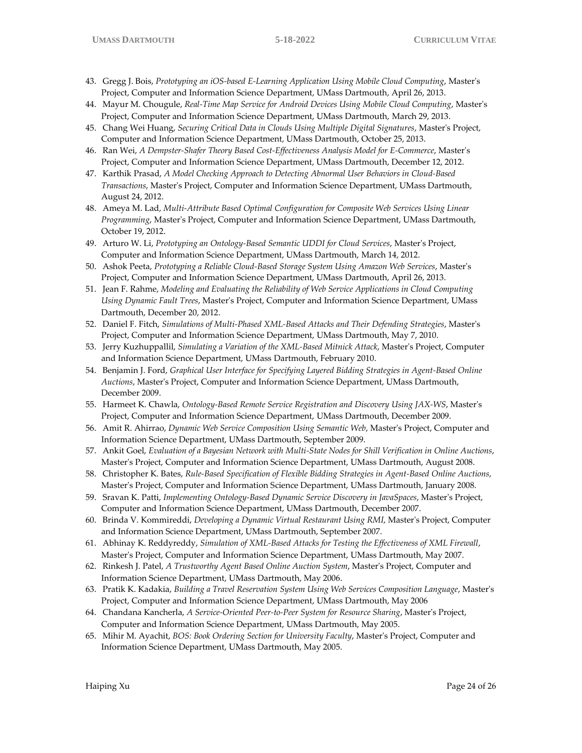- 43. Gregg J. Bois, *Prototyping an iOS-based E-Learning Application Using Mobile Cloud Computing*, Master's Project, Computer and Information Science Department, UMass Dartmouth, April 26, 2013.
- 44. Mayur M. Chougule, *Real-Time Map Service for Android Devices Using Mobile Cloud Computing*, Master's Project, Computer and Information Science Department, UMass Dartmouth, March 29, 2013.
- 45. Chang Wei Huang, *Securing Critical Data in Clouds Using Multiple Digital Signatures*, Master's Project, Computer and Information Science Department, UMass Dartmouth, October 25, 2013.
- 46. Ran Wei, *A Dempster-Shafer Theory Based Cost-Effectiveness Analysis Model for E-Commerce*, Master's Project, Computer and Information Science Department, UMass Dartmouth, December 12, 2012.
- 47. Karthik Prasad, *A Model Checking Approach to Detecting Abnormal User Behaviors in Cloud-Based Transactions*, Master's Project, Computer and Information Science Department, UMass Dartmouth, August 24, 2012.
- 48. Ameya M. Lad, *Multi-Attribute Based Optimal Configuration for Composite Web Services Using Linear Programming*, Master's Project, Computer and Information Science Department, UMass Dartmouth, October 19, 2012.
- 49. Arturo W. Li, *Prototyping an Ontology-Based Semantic UDDI for Cloud Services*, Master's Project, Computer and Information Science Department, UMass Dartmouth, March 14, 2012.
- 50. Ashok Peeta, *Prototyping a Reliable Cloud-Based Storage System Using Amazon Web Services*, Master's Project, Computer and Information Science Department, UMass Dartmouth, April 26, 2013.
- 51. Jean F. Rahme, *Modeling and Evaluating the Reliability of Web Service Applications in Cloud Computing Using Dynamic Fault Trees*, Master's Project, Computer and Information Science Department, UMass Dartmouth, December 20, 2012.
- 52. Daniel F. Fitch, *Simulations of Multi-Phased XML-Based Attacks and Their Defending Strategies*, Master's Project, Computer and Information Science Department, UMass Dartmouth, May 7, 2010.
- 53. Jerry Kuzhuppallil, *Simulating a Variation of the XML-Based Mitnick Attack*, Master's Project, Computer and Information Science Department, UMass Dartmouth, February 2010.
- 54. Benjamin J. Ford, *Graphical User Interface for Specifying Layered Bidding Strategies in Agent-Based Online Auctions*, Master's Project, Computer and Information Science Department, UMass Dartmouth, December 2009.
- 55. Harmeet K. Chawla, *Ontology-Based Remote Service Registration and Discovery Using JAX-WS*, Master's Project, Computer and Information Science Department, UMass Dartmouth, December 2009.
- 56. Amit R. Ahirrao, *Dynamic Web Service Composition Using Semantic Web*, Master's Project, Computer and Information Science Department, UMass Dartmouth, September 2009.
- 57. Ankit Goel, *Evaluation of a Bayesian Network with Multi-State Nodes for Shill Verification in Online Auctions*, Master's Project, Computer and Information Science Department, UMass Dartmouth, August 2008.
- 58. Christopher K. Bates, *Rule-Based Specification of Flexible Bidding Strategies in Agent-Based Online Auctions*, Master's Project, Computer and Information Science Department, UMass Dartmouth, January 2008.
- 59. Sravan K. Patti, *Implementing Ontology-Based Dynamic Service Discovery in JavaSpaces*, Master's Project, Computer and Information Science Department, UMass Dartmouth, December 2007.
- 60. Brinda V. Kommireddi, *Developing a Dynamic Virtual Restaurant Using RMI*, Master's Project, Computer and Information Science Department, UMass Dartmouth, September 2007.
- 61. Abhinay K. Reddyreddy, *Simulation of XML-Based Attacks for Testing the Effectiveness of XML Firewall*, Master's Project, Computer and Information Science Department, UMass Dartmouth, May 2007.
- 62. Rinkesh J. Patel, *A Trustworthy Agent Based Online Auction System*, Master's Project, Computer and Information Science Department, UMass Dartmouth, May 2006.
- 63. Pratik K. Kadakia, *Building a Travel Reservation System Using Web Services Composition Language*, Master's Project, Computer and Information Science Department, UMass Dartmouth, May 2006
- 64. Chandana Kancherla, *A Service-Oriented Peer-to-Peer System for Resource Sharing*, Master's Project, Computer and Information Science Department, UMass Dartmouth, May 2005.
- 65. Mihir M. Ayachit, *BOS: Book Ordering Section for University Faculty*, Master's Project, Computer and Information Science Department, UMass Dartmouth, May 2005.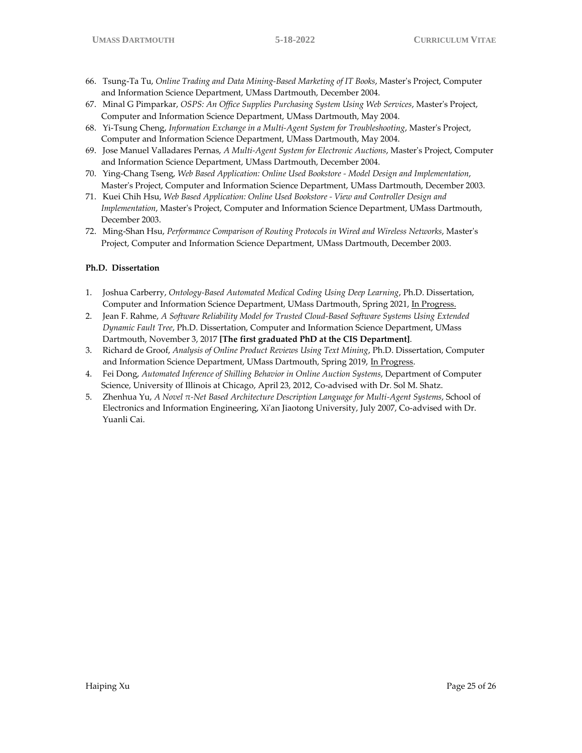- 66. Tsung-Ta Tu, *Online Trading and Data Mining-Based Marketing of IT Books*, Master's Project, Computer and Information Science Department, UMass Dartmouth, December 2004.
- 67. Minal G Pimparkar, *OSPS: An Office Supplies Purchasing System Using Web Services*, Master's Project, Computer and Information Science Department, UMass Dartmouth, May 2004.
- 68. Yi-Tsung Cheng, *Information Exchange in a Multi-Agent System for Troubleshooting*, Master's Project, Computer and Information Science Department, UMass Dartmouth, May 2004.
- 69. Jose Manuel Valladares Pernas, *A Multi-Agent System for Electronic Auctions*, Master's Project, Computer and Information Science Department, UMass Dartmouth, December 2004.
- 70. Ying-Chang Tseng, *Web Based Application: Online Used Bookstore - Model Design and Implementation*, Master's Project, Computer and Information Science Department, UMass Dartmouth, December 2003.
- 71. Kuei Chih Hsu, *Web Based Application: Online Used Bookstore - View and Controller Design and Implementation*, Master's Project, Computer and Information Science Department, UMass Dartmouth, December 2003.
- 72. Ming-Shan Hsu, *Performance Comparison of Routing Protocols in Wired and Wireless Networks*, Master's Project, Computer and Information Science Department, UMass Dartmouth, December 2003.

#### **Ph.D. Dissertation**

- 1. Joshua Carberry, *Ontology-Based Automated Medical Coding Using Deep Learning*, Ph.D. Dissertation, Computer and Information Science Department, UMass Dartmouth, Spring 2021, In Progress.
- 2. Jean F. Rahme, *A Software Reliability Model for Trusted Cloud-Based Software Systems Using Extended Dynamic Fault Tree*, Ph.D. Dissertation, Computer and Information Science Department, UMass Dartmouth, November 3, 2017 **[The first graduated PhD at the CIS Department]**.
- 3. Richard de Groof, *Analysis of Online Product Reviews Using Text Mining*, Ph.D. Dissertation, Computer and Information Science Department, UMass Dartmouth, Spring 2019, In Progress.
- 4. Fei Dong, *Automated Inference of Shilling Behavior in Online Auction Systems*, Department of Computer Science, University of Illinois at Chicago, April 23, 2012, Co-advised with Dr. Sol M. Shatz.
- 5. Zhenhua Yu, *A Novel π-Net Based Architecture Description Language for Multi-Agent Systems*, School of Electronics and Information Engineering, Xi'an Jiaotong University, July 2007, Co-advised with Dr. Yuanli Cai.